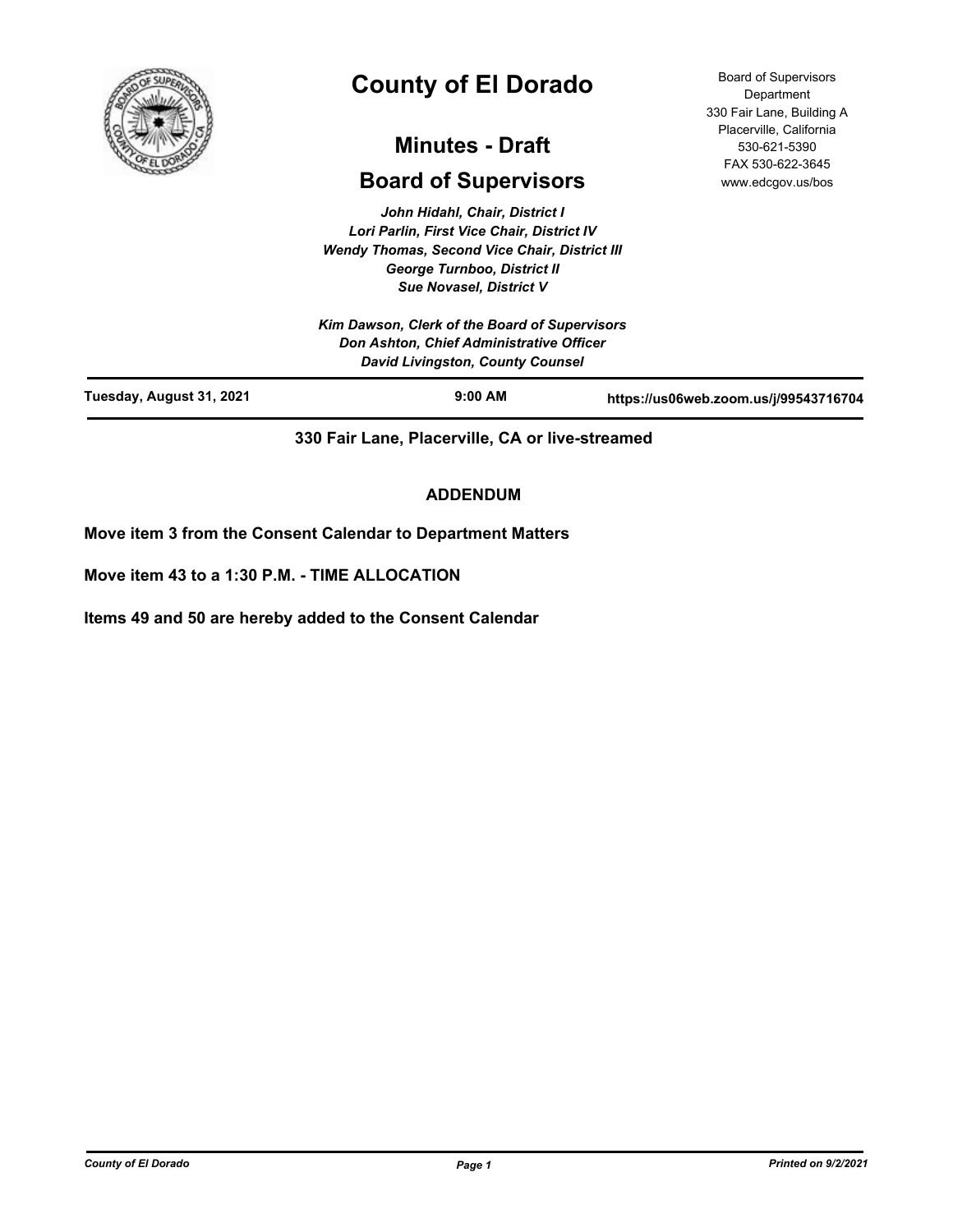

# **County of El Dorado**

# **Minutes - Draft**

# **Board of Supervisors**

*John Hidahl, Chair, District I Lori Parlin, First Vice Chair, District IV Wendy Thomas, Second Vice Chair, District III George Turnboo, District II Sue Novasel, District V*

Board of Supervisors **Department** 330 Fair Lane, Building A Placerville, California 530-621-5390 FAX 530-622-3645 www.edcgov.us/bos

|                          | Kim Dawson, Clerk of the Board of Supervisors<br>Don Ashton, Chief Administrative Officer<br><b>David Livingston, County Counsel</b> |                                       |
|--------------------------|--------------------------------------------------------------------------------------------------------------------------------------|---------------------------------------|
| Tuesday, August 31, 2021 | $9:00$ AM                                                                                                                            | https://us06web.zoom.us/j/99543716704 |

**330 Fair Lane, Placerville, CA or live-streamed**

# **ADDENDUM**

**Move item 3 from the Consent Calendar to Department Matters**

**Move item 43 to a 1:30 P.M. - TIME ALLOCATION**

**Items 49 and 50 are hereby added to the Consent Calendar**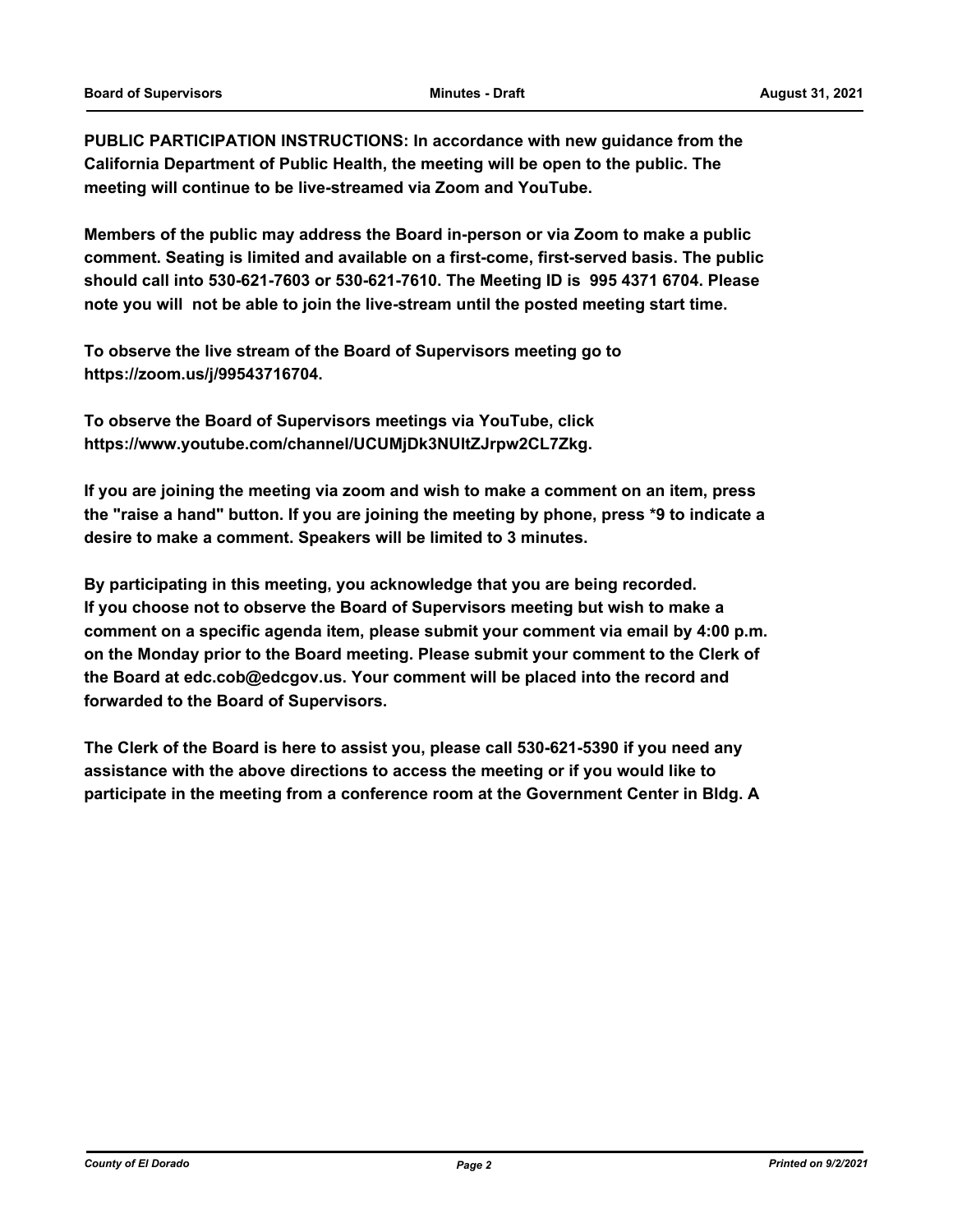**PUBLIC PARTICIPATION INSTRUCTIONS: In accordance with new guidance from the California Department of Public Health, the meeting will be open to the public. The meeting will continue to be live-streamed via Zoom and YouTube.**

**Members of the public may address the Board in-person or via Zoom to make a public comment. Seating is limited and available on a first-come, first-served basis. The public should call into 530-621-7603 or 530-621-7610. The Meeting ID is 995 4371 6704. Please note you will not be able to join the live-stream until the posted meeting start time.**

**To observe the live stream of the Board of Supervisors meeting go to https://zoom.us/j/99543716704.**

**To observe the Board of Supervisors meetings via YouTube, click https://www.youtube.com/channel/UCUMjDk3NUltZJrpw2CL7Zkg.**

**If you are joining the meeting via zoom and wish to make a comment on an item, press the "raise a hand" button. If you are joining the meeting by phone, press \*9 to indicate a desire to make a comment. Speakers will be limited to 3 minutes.**

**By participating in this meeting, you acknowledge that you are being recorded. If you choose not to observe the Board of Supervisors meeting but wish to make a comment on a specific agenda item, please submit your comment via email by 4:00 p.m. on the Monday prior to the Board meeting. Please submit your comment to the Clerk of the Board at edc.cob@edcgov.us. Your comment will be placed into the record and forwarded to the Board of Supervisors.**

**The Clerk of the Board is here to assist you, please call 530-621-5390 if you need any assistance with the above directions to access the meeting or if you would like to participate in the meeting from a conference room at the Government Center in Bldg. A**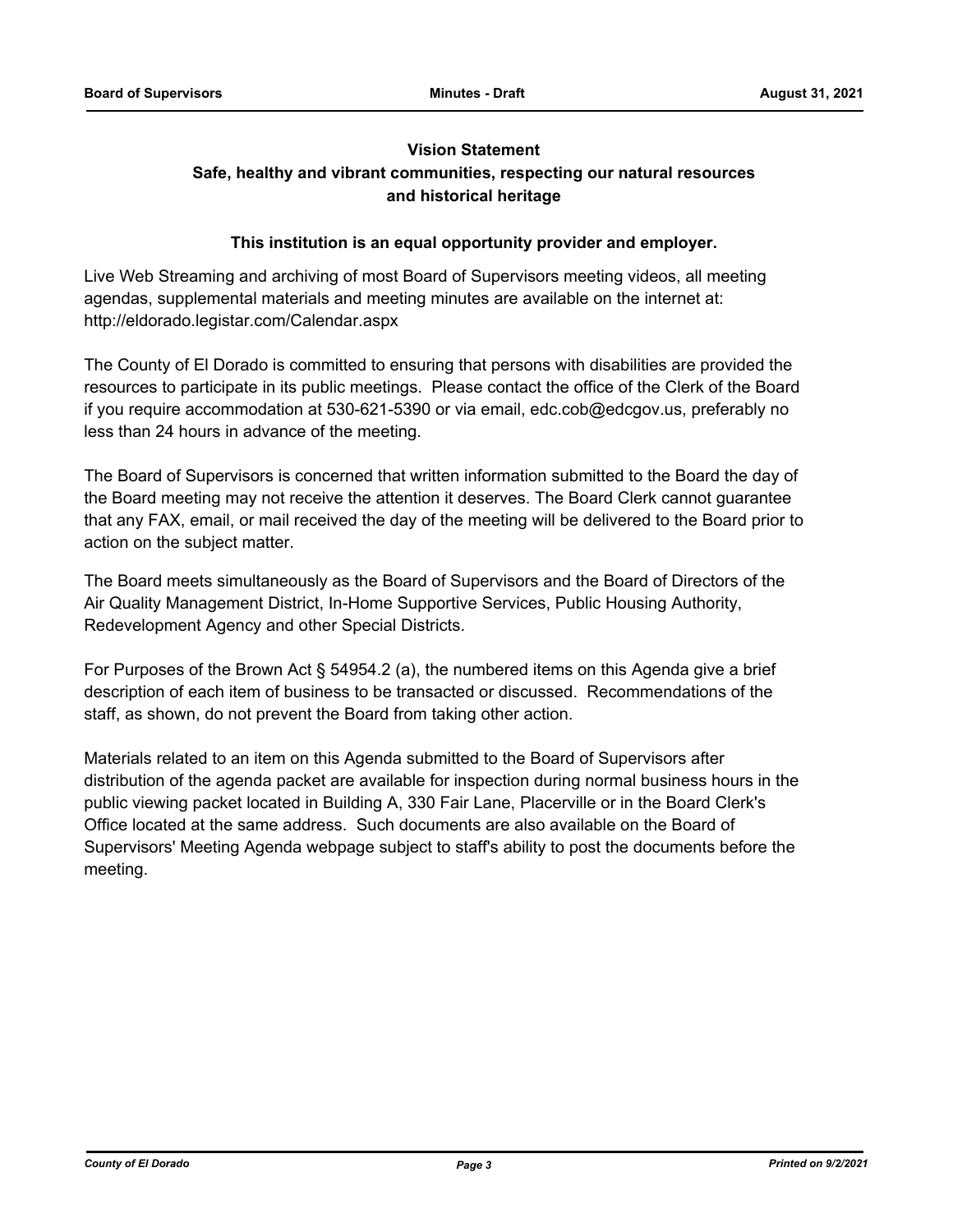# **Vision Statement Safe, healthy and vibrant communities, respecting our natural resources and historical heritage**

# **This institution is an equal opportunity provider and employer.**

Live Web Streaming and archiving of most Board of Supervisors meeting videos, all meeting agendas, supplemental materials and meeting minutes are available on the internet at: http://eldorado.legistar.com/Calendar.aspx

The County of El Dorado is committed to ensuring that persons with disabilities are provided the resources to participate in its public meetings. Please contact the office of the Clerk of the Board if you require accommodation at 530-621-5390 or via email, edc.cob@edcgov.us, preferably no less than 24 hours in advance of the meeting.

The Board of Supervisors is concerned that written information submitted to the Board the day of the Board meeting may not receive the attention it deserves. The Board Clerk cannot guarantee that any FAX, email, or mail received the day of the meeting will be delivered to the Board prior to action on the subject matter.

The Board meets simultaneously as the Board of Supervisors and the Board of Directors of the Air Quality Management District, In-Home Supportive Services, Public Housing Authority, Redevelopment Agency and other Special Districts.

For Purposes of the Brown Act § 54954.2 (a), the numbered items on this Agenda give a brief description of each item of business to be transacted or discussed. Recommendations of the staff, as shown, do not prevent the Board from taking other action.

Materials related to an item on this Agenda submitted to the Board of Supervisors after distribution of the agenda packet are available for inspection during normal business hours in the public viewing packet located in Building A, 330 Fair Lane, Placerville or in the Board Clerk's Office located at the same address. Such documents are also available on the Board of Supervisors' Meeting Agenda webpage subject to staff's ability to post the documents before the meeting.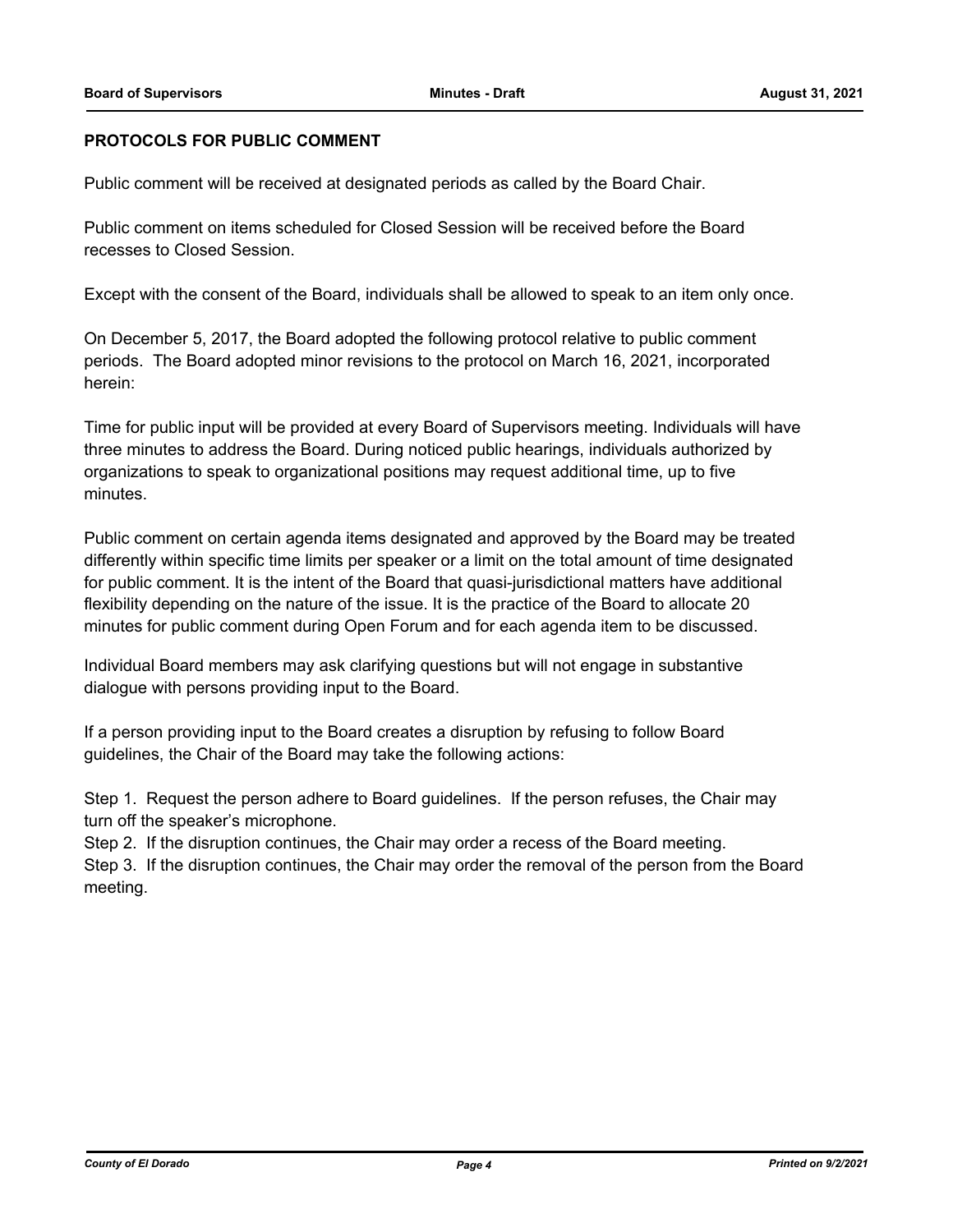# **PROTOCOLS FOR PUBLIC COMMENT**

Public comment will be received at designated periods as called by the Board Chair.

Public comment on items scheduled for Closed Session will be received before the Board recesses to Closed Session.

Except with the consent of the Board, individuals shall be allowed to speak to an item only once.

On December 5, 2017, the Board adopted the following protocol relative to public comment periods. The Board adopted minor revisions to the protocol on March 16, 2021, incorporated herein:

Time for public input will be provided at every Board of Supervisors meeting. Individuals will have three minutes to address the Board. During noticed public hearings, individuals authorized by organizations to speak to organizational positions may request additional time, up to five minutes.

Public comment on certain agenda items designated and approved by the Board may be treated differently within specific time limits per speaker or a limit on the total amount of time designated for public comment. It is the intent of the Board that quasi-jurisdictional matters have additional flexibility depending on the nature of the issue. It is the practice of the Board to allocate 20 minutes for public comment during Open Forum and for each agenda item to be discussed.

Individual Board members may ask clarifying questions but will not engage in substantive dialogue with persons providing input to the Board.

If a person providing input to the Board creates a disruption by refusing to follow Board guidelines, the Chair of the Board may take the following actions:

Step 1. Request the person adhere to Board guidelines. If the person refuses, the Chair may turn off the speaker's microphone.

Step 2. If the disruption continues, the Chair may order a recess of the Board meeting.

Step 3. If the disruption continues, the Chair may order the removal of the person from the Board meeting.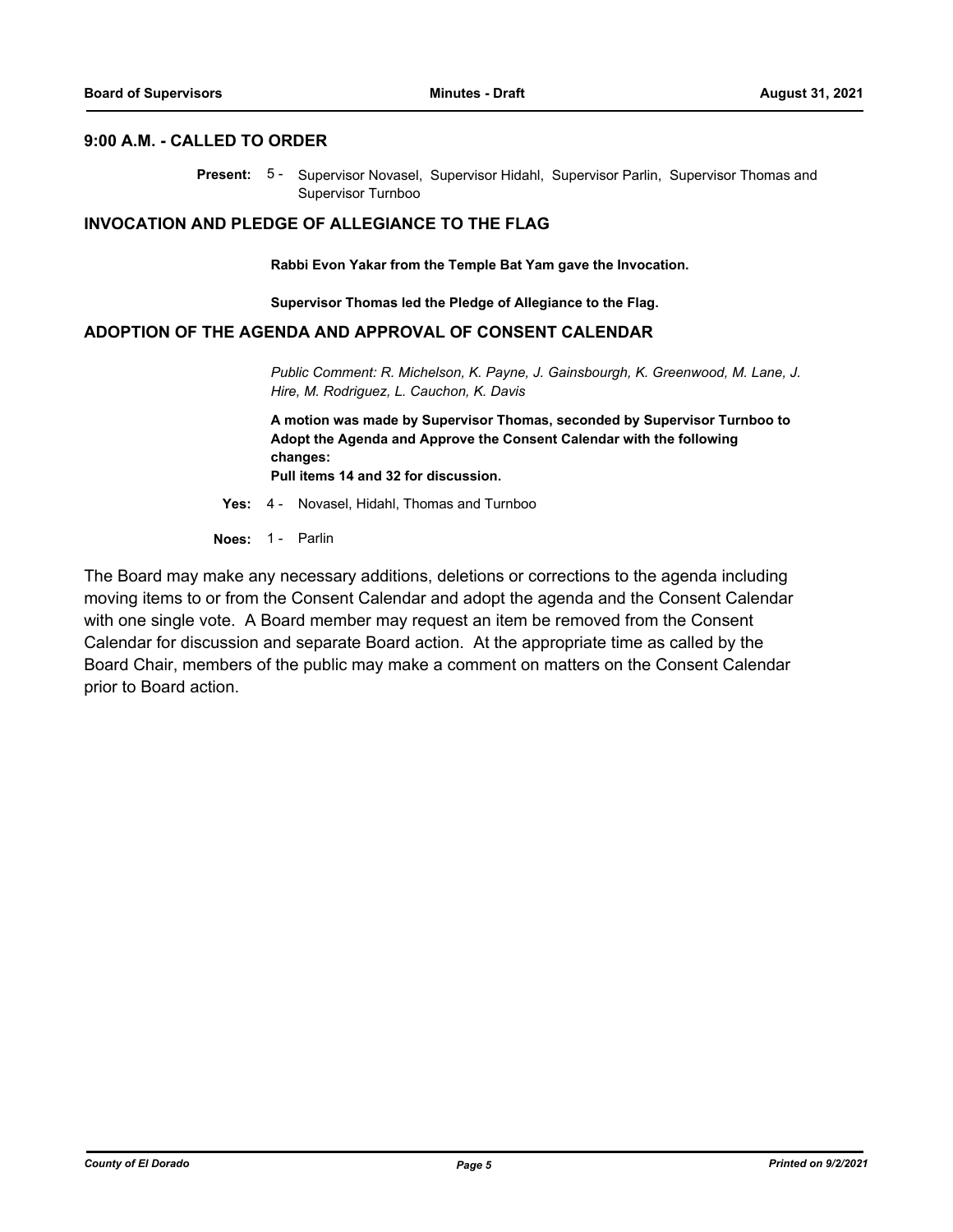#### **9:00 A.M. - CALLED TO ORDER**

Present: 5 - Supervisor Novasel, Supervisor Hidahl, Supervisor Parlin, Supervisor Thomas and Supervisor Turnboo

#### **INVOCATION AND PLEDGE OF ALLEGIANCE TO THE FLAG**

**Rabbi Evon Yakar from the Temple Bat Yam gave the Invocation.**

**Supervisor Thomas led the Pledge of Allegiance to the Flag.**

### **ADOPTION OF THE AGENDA AND APPROVAL OF CONSENT CALENDAR**

*Public Comment: R. Michelson, K. Payne, J. Gainsbourgh, K. Greenwood, M. Lane, J. Hire, M. Rodriguez, L. Cauchon, K. Davis*

**A motion was made by Supervisor Thomas, seconded by Supervisor Turnboo to Adopt the Agenda and Approve the Consent Calendar with the following changes:**

**Pull items 14 and 32 for discussion.**

**Yes:** 4 - Novasel, Hidahl, Thomas and Turnboo

**Noes:** 1 - Parlin

The Board may make any necessary additions, deletions or corrections to the agenda including moving items to or from the Consent Calendar and adopt the agenda and the Consent Calendar with one single vote. A Board member may request an item be removed from the Consent Calendar for discussion and separate Board action. At the appropriate time as called by the Board Chair, members of the public may make a comment on matters on the Consent Calendar prior to Board action.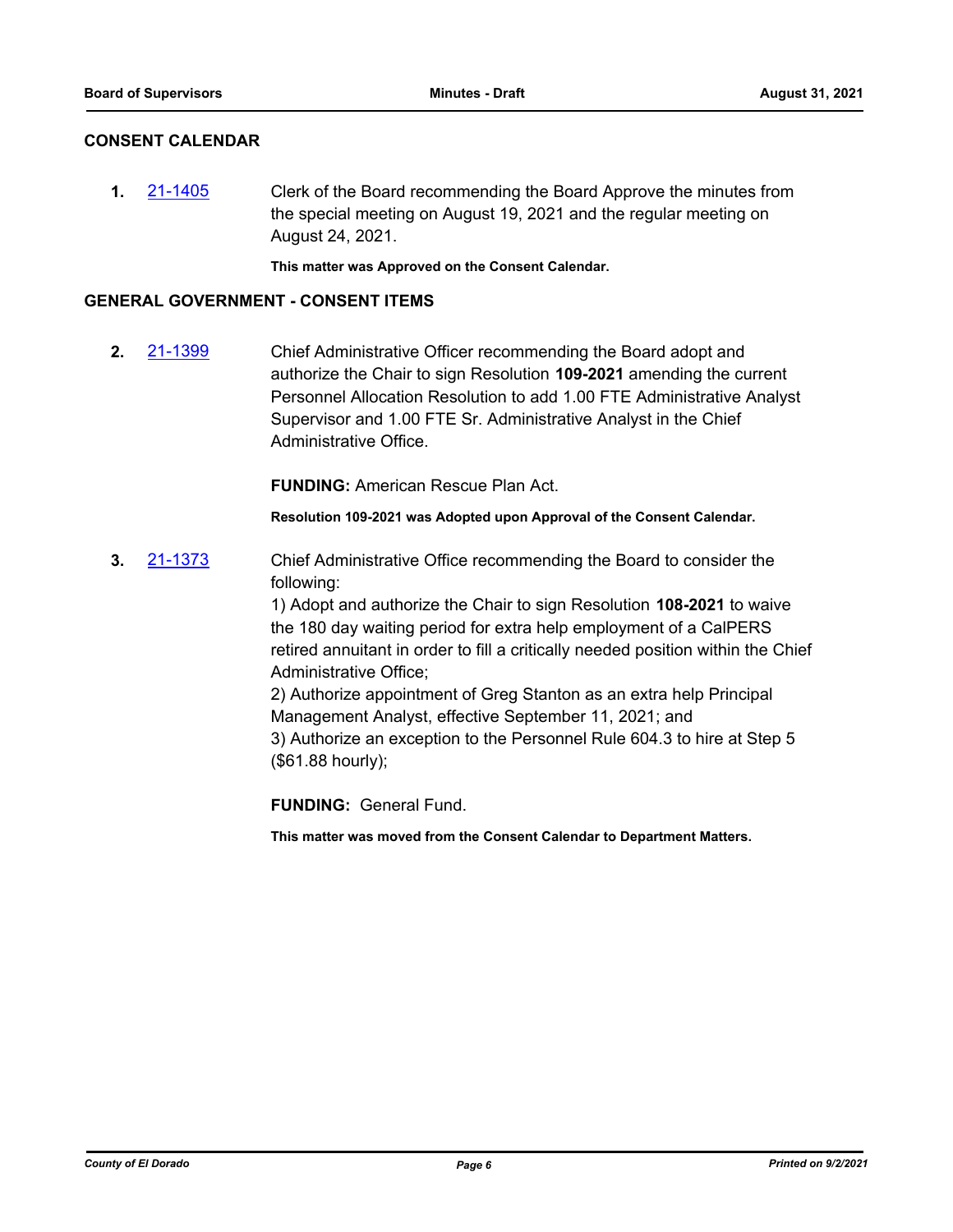# **CONSENT CALENDAR**

**1.** [21-1405](http://eldorado.legistar.com/gateway.aspx?m=l&id=/matter.aspx?key=30300) Clerk of the Board recommending the Board Approve the minutes from the special meeting on August 19, 2021 and the regular meeting on August 24, 2021.

**This matter was Approved on the Consent Calendar.**

#### **GENERAL GOVERNMENT - CONSENT ITEMS**

**2.** [21-1399](http://eldorado.legistar.com/gateway.aspx?m=l&id=/matter.aspx?key=30294) Chief Administrative Officer recommending the Board adopt and authorize the Chair to sign Resolution **109-2021** amending the current Personnel Allocation Resolution to add 1.00 FTE Administrative Analyst Supervisor and 1.00 FTE Sr. Administrative Analyst in the Chief Administrative Office.

**FUNDING:** American Rescue Plan Act.

**Resolution 109-2021 was Adopted upon Approval of the Consent Calendar.**

**3.** [21-1373](http://eldorado.legistar.com/gateway.aspx?m=l&id=/matter.aspx?key=30268) Chief Administrative Office recommending the Board to consider the following:

> 1) Adopt and authorize the Chair to sign Resolution **108-2021** to waive the 180 day waiting period for extra help employment of a CalPERS retired annuitant in order to fill a critically needed position within the Chief Administrative Office;

2) Authorize appointment of Greg Stanton as an extra help Principal Management Analyst, effective September 11, 2021; and 3) Authorize an exception to the Personnel Rule 604.3 to hire at Step 5 (\$61.88 hourly);

**FUNDING:** General Fund.

**This matter was moved from the Consent Calendar to Department Matters.**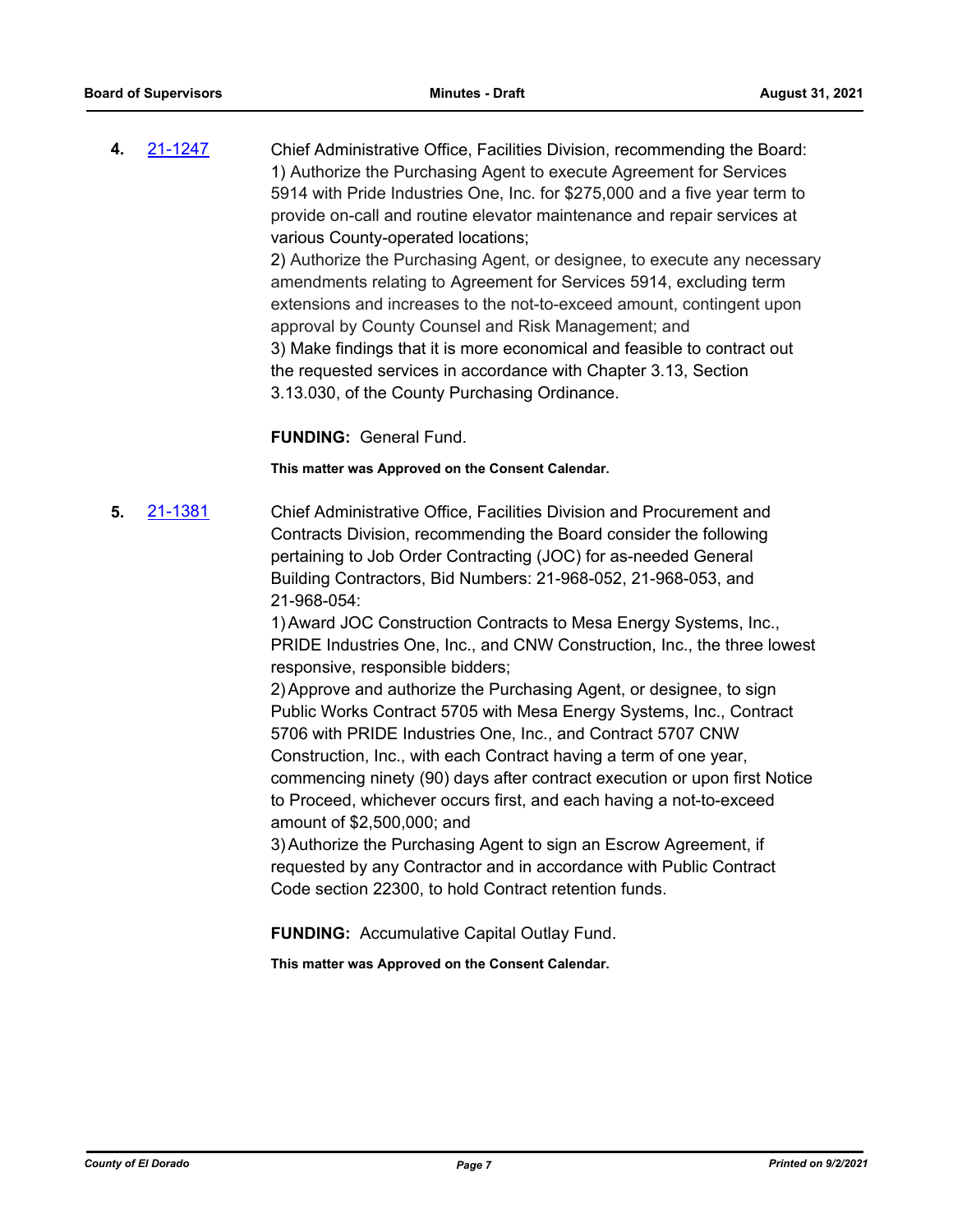**4.** [21-1247](http://eldorado.legistar.com/gateway.aspx?m=l&id=/matter.aspx?key=30142) Chief Administrative Office, Facilities Division, recommending the Board: 1) Authorize the Purchasing Agent to execute Agreement for Services 5914 with Pride Industries One, Inc. for \$275,000 and a five year term to provide on-call and routine elevator maintenance and repair services at various County-operated locations; 2) Authorize the Purchasing Agent, or designee, to execute any necessary amendments relating to Agreement for Services 5914, excluding term extensions and increases to the not-to-exceed amount, contingent upon approval by County Counsel and Risk Management; and 3) Make findings that it is more economical and feasible to contract out the requested services in accordance with Chapter 3.13, Section 3.13.030, of the County Purchasing Ordinance.

**FUNDING:** General Fund.

#### **This matter was Approved on the Consent Calendar.**

**5.** [21-1381](http://eldorado.legistar.com/gateway.aspx?m=l&id=/matter.aspx?key=30276) Chief Administrative Office, Facilities Division and Procurement and Contracts Division, recommending the Board consider the following pertaining to Job Order Contracting (JOC) for as-needed General Building Contractors, Bid Numbers: 21-968-052, 21-968-053, and 21-968-054:

> 1)Award JOC Construction Contracts to Mesa Energy Systems, Inc., PRIDE Industries One, Inc., and CNW Construction, Inc., the three lowest responsive, responsible bidders;

2)Approve and authorize the Purchasing Agent, or designee, to sign Public Works Contract 5705 with Mesa Energy Systems, Inc., Contract 5706 with PRIDE Industries One, Inc., and Contract 5707 CNW Construction, Inc., with each Contract having a term of one year, commencing ninety (90) days after contract execution or upon first Notice to Proceed, whichever occurs first, and each having a not-to-exceed amount of \$2,500,000; and

3)Authorize the Purchasing Agent to sign an Escrow Agreement, if requested by any Contractor and in accordance with Public Contract Code section 22300, to hold Contract retention funds.

**FUNDING:** Accumulative Capital Outlay Fund.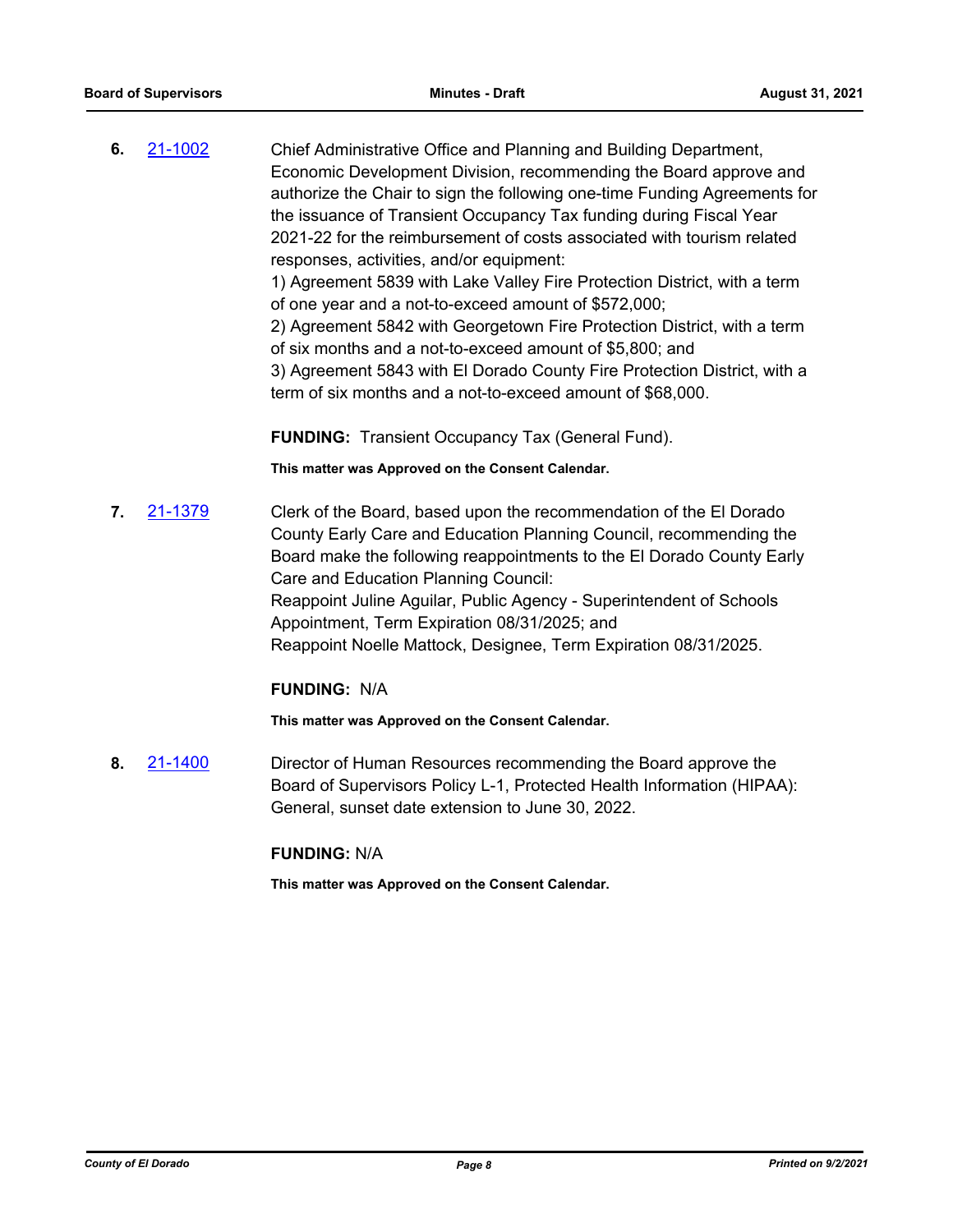**6.** [21-1002](http://eldorado.legistar.com/gateway.aspx?m=l&id=/matter.aspx?key=29896) Chief Administrative Office and Planning and Building Department, Economic Development Division, recommending the Board approve and authorize the Chair to sign the following one-time Funding Agreements for the issuance of Transient Occupancy Tax funding during Fiscal Year 2021-22 for the reimbursement of costs associated with tourism related responses, activities, and/or equipment: 1) Agreement 5839 with Lake Valley Fire Protection District, with a term

of one year and a not-to-exceed amount of \$572,000;

2) Agreement 5842 with Georgetown Fire Protection District, with a term of six months and a not-to-exceed amount of \$5,800; and

3) Agreement 5843 with El Dorado County Fire Protection District, with a term of six months and a not-to-exceed amount of \$68,000.

**FUNDING:** Transient Occupancy Tax (General Fund).

**This matter was Approved on the Consent Calendar.**

**7.** [21-1379](http://eldorado.legistar.com/gateway.aspx?m=l&id=/matter.aspx?key=30274) Clerk of the Board, based upon the recommendation of the El Dorado County Early Care and Education Planning Council, recommending the Board make the following reappointments to the El Dorado County Early Care and Education Planning Council: Reappoint Juline Aguilar, Public Agency - Superintendent of Schools Appointment, Term Expiration 08/31/2025; and Reappoint Noelle Mattock, Designee, Term Expiration 08/31/2025.

# **FUNDING:** N/A

**This matter was Approved on the Consent Calendar.**

**8.** [21-1400](http://eldorado.legistar.com/gateway.aspx?m=l&id=/matter.aspx?key=30295) Director of Human Resources recommending the Board approve the Board of Supervisors Policy L-1, Protected Health Information (HIPAA): General, sunset date extension to June 30, 2022.

#### **FUNDING:** N/A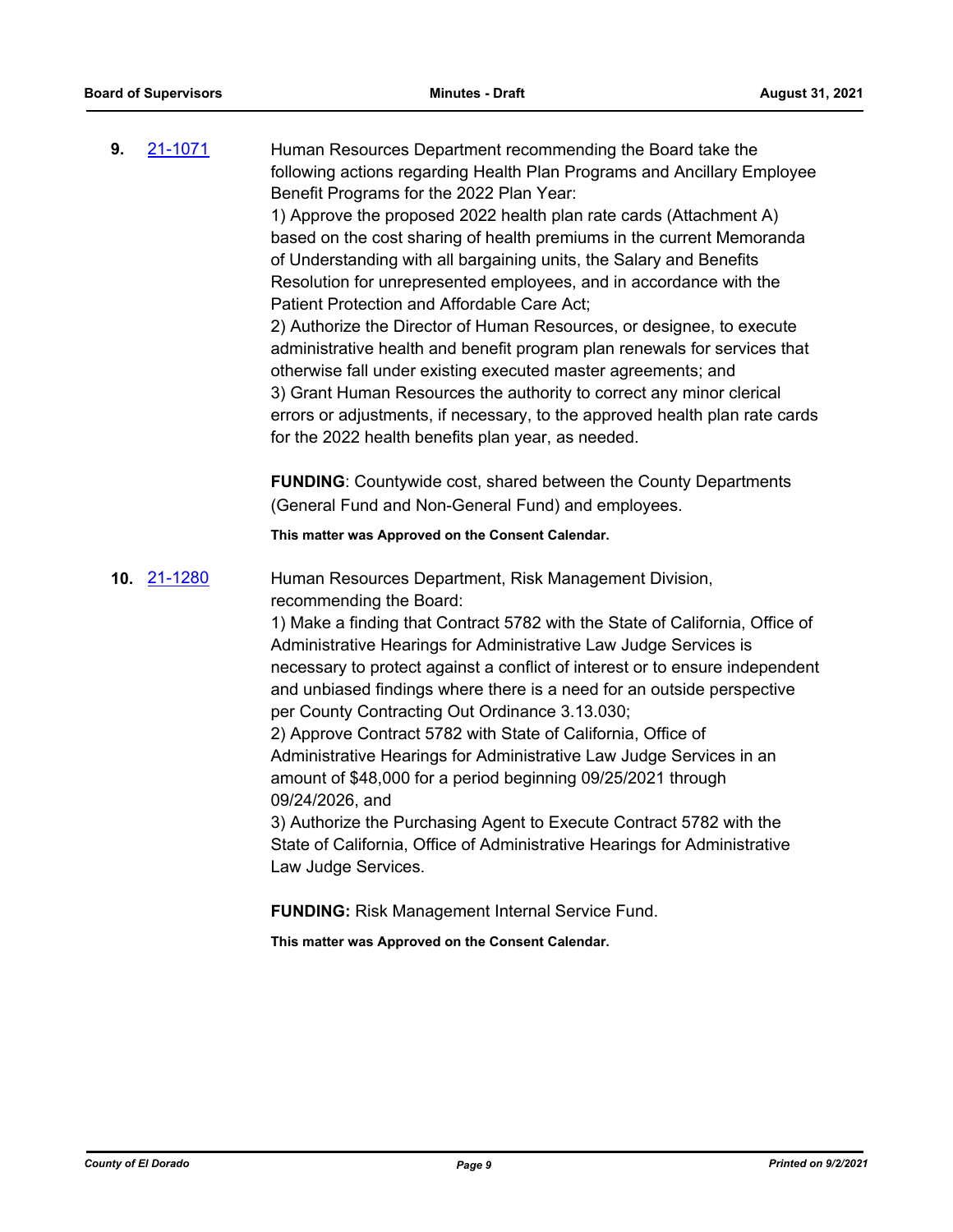**9.** [21-1071](http://eldorado.legistar.com/gateway.aspx?m=l&id=/matter.aspx?key=29965) Human Resources Department recommending the Board take the following actions regarding Health Plan Programs and Ancillary Employee Benefit Programs for the 2022 Plan Year:

1) Approve the proposed 2022 health plan rate cards (Attachment A) based on the cost sharing of health premiums in the current Memoranda of Understanding with all bargaining units, the Salary and Benefits Resolution for unrepresented employees, and in accordance with the Patient Protection and Affordable Care Act;

2) Authorize the Director of Human Resources, or designee, to execute administrative health and benefit program plan renewals for services that otherwise fall under existing executed master agreements; and 3) Grant Human Resources the authority to correct any minor clerical errors or adjustments, if necessary, to the approved health plan rate cards for the 2022 health benefits plan year, as needed.

**FUNDING**: Countywide cost, shared between the County Departments (General Fund and Non-General Fund) and employees.

**This matter was Approved on the Consent Calendar.**

**10.** [21-1280](http://eldorado.legistar.com/gateway.aspx?m=l&id=/matter.aspx?key=30175) Human Resources Department, Risk Management Division, recommending the Board:

> 1) Make a finding that Contract 5782 with the State of California, Office of Administrative Hearings for Administrative Law Judge Services is necessary to protect against a conflict of interest or to ensure independent and unbiased findings where there is a need for an outside perspective per County Contracting Out Ordinance 3.13.030;

2) Approve Contract 5782 with State of California, Office of Administrative Hearings for Administrative Law Judge Services in an amount of \$48,000 for a period beginning 09/25/2021 through 09/24/2026, and

3) Authorize the Purchasing Agent to Execute Contract 5782 with the State of California, Office of Administrative Hearings for Administrative Law Judge Services.

**FUNDING:** Risk Management Internal Service Fund.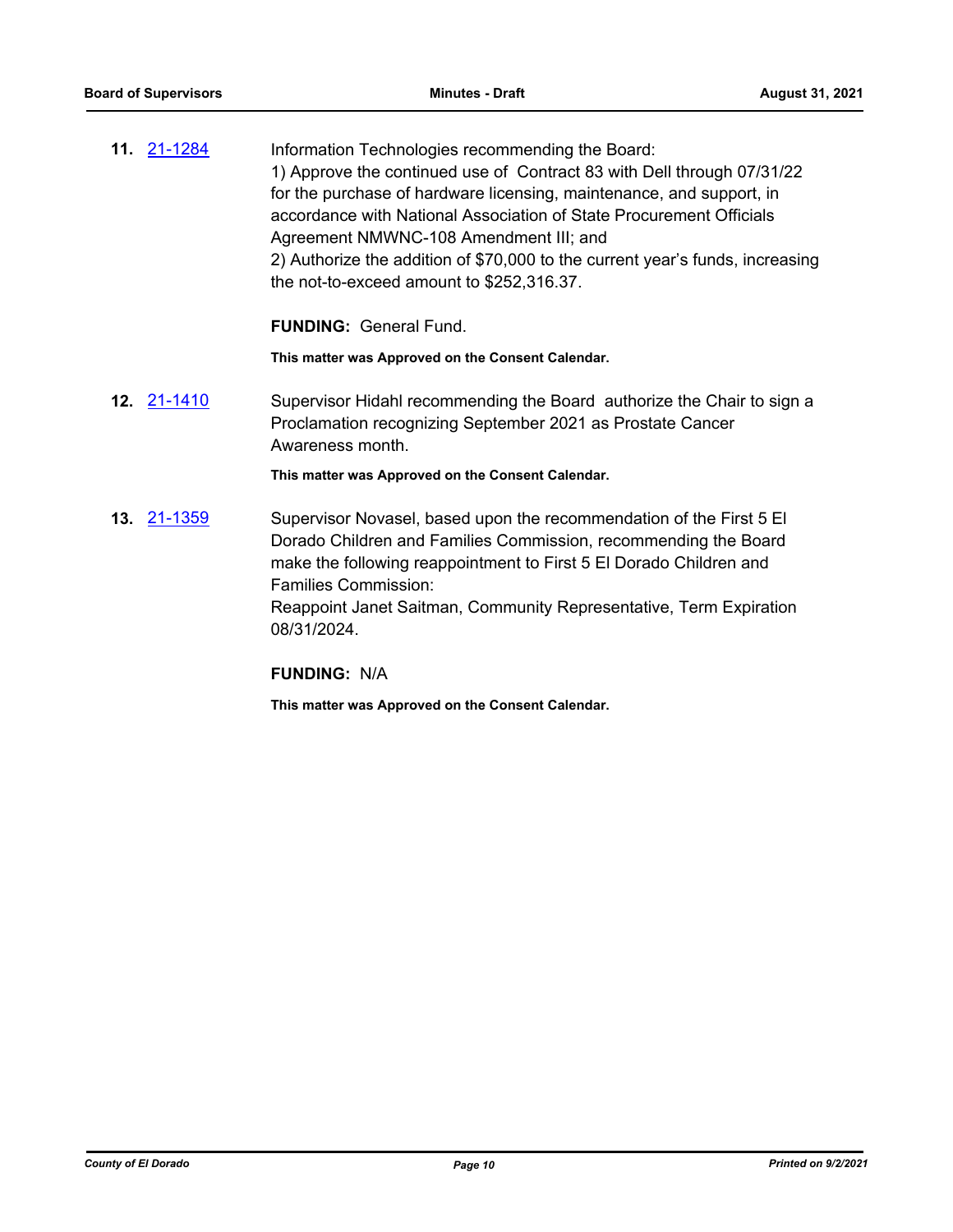**11.** [21-1284](http://eldorado.legistar.com/gateway.aspx?m=l&id=/matter.aspx?key=30179) Information Technologies recommending the Board: 1) Approve the continued use of Contract 83 with Dell through 07/31/22 for the purchase of hardware licensing, maintenance, and support, in accordance with National Association of State Procurement Officials Agreement NMWNC-108 Amendment III; and 2) Authorize the addition of \$70,000 to the current year's funds, increasing the not-to-exceed amount to \$252,316.37.

**FUNDING:** General Fund.

**This matter was Approved on the Consent Calendar.**

**12.** [21-1410](http://eldorado.legistar.com/gateway.aspx?m=l&id=/matter.aspx?key=30305) Supervisor Hidahl recommending the Board authorize the Chair to sign a Proclamation recognizing September 2021 as Prostate Cancer Awareness month.

**This matter was Approved on the Consent Calendar.**

**13.** [21-1359](http://eldorado.legistar.com/gateway.aspx?m=l&id=/matter.aspx?key=30254) Supervisor Novasel, based upon the recommendation of the First 5 El Dorado Children and Families Commission, recommending the Board make the following reappointment to First 5 El Dorado Children and Families Commission: Reappoint Janet Saitman, Community Representative, Term Expiration 08/31/2024.

#### **FUNDING:** N/A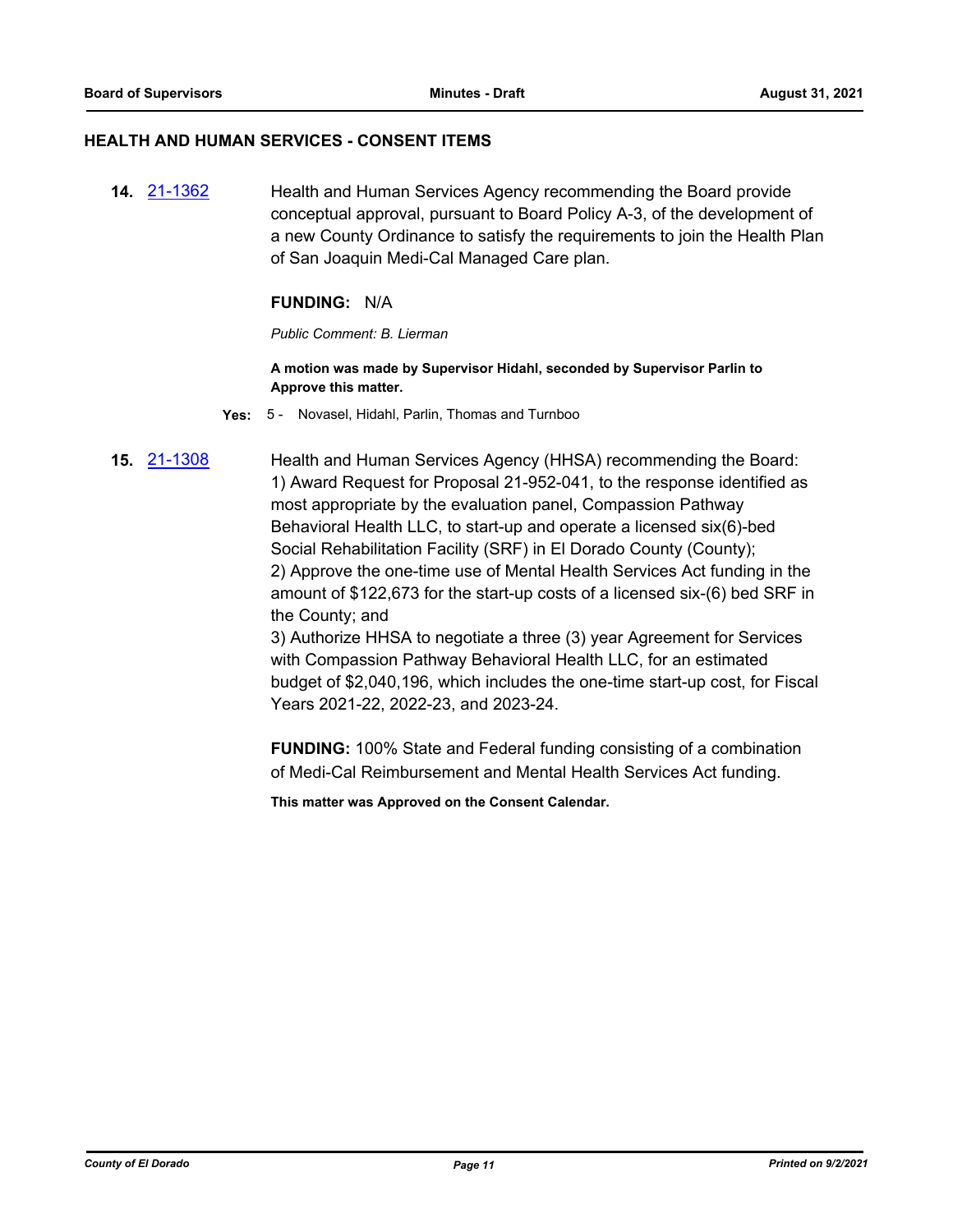#### **HEALTH AND HUMAN SERVICES - CONSENT ITEMS**

**14.** [21-1362](http://eldorado.legistar.com/gateway.aspx?m=l&id=/matter.aspx?key=30257) Health and Human Services Agency recommending the Board provide conceptual approval, pursuant to Board Policy A-3, of the development of a new County Ordinance to satisfy the requirements to join the Health Plan of San Joaquin Medi-Cal Managed Care plan.

#### **FUNDING:** N/A

*Public Comment: B. Lierman*

**A motion was made by Supervisor Hidahl, seconded by Supervisor Parlin to Approve this matter.**

**Yes:** 5 - Novasel, Hidahl, Parlin, Thomas and Turnboo

**15.** [21-1308](http://eldorado.legistar.com/gateway.aspx?m=l&id=/matter.aspx?key=30203) Health and Human Services Agency (HHSA) recommending the Board: 1) Award Request for Proposal 21-952-041, to the response identified as most appropriate by the evaluation panel, Compassion Pathway Behavioral Health LLC, to start-up and operate a licensed six(6)-bed Social Rehabilitation Facility (SRF) in El Dorado County (County); 2) Approve the one-time use of Mental Health Services Act funding in the amount of \$122,673 for the start-up costs of a licensed six-(6) bed SRF in the County; and 3) Authorize HHSA to negotiate a three (3) year Agreement for Services

with Compassion Pathway Behavioral Health LLC, for an estimated budget of \$2,040,196, which includes the one-time start-up cost, for Fiscal Years 2021-22, 2022-23, and 2023-24.

**FUNDING:** 100% State and Federal funding consisting of a combination of Medi-Cal Reimbursement and Mental Health Services Act funding.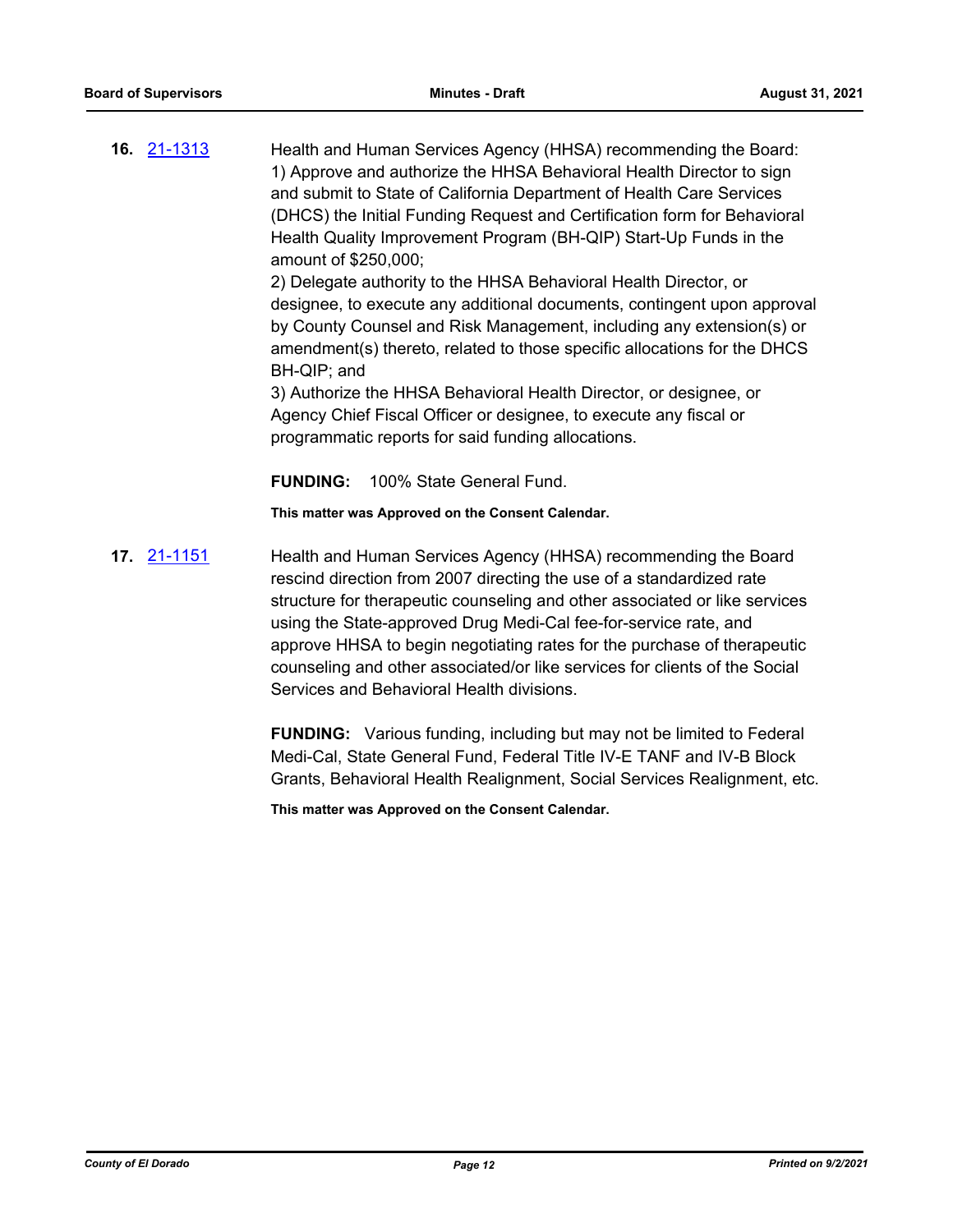**16.** [21-1313](http://eldorado.legistar.com/gateway.aspx?m=l&id=/matter.aspx?key=30208) Health and Human Services Agency (HHSA) recommending the Board: 1) Approve and authorize the HHSA Behavioral Health Director to sign and submit to State of California Department of Health Care Services (DHCS) the Initial Funding Request and Certification form for Behavioral Health Quality Improvement Program (BH-QIP) Start-Up Funds in the amount of \$250,000;

> 2) Delegate authority to the HHSA Behavioral Health Director, or designee, to execute any additional documents, contingent upon approval by County Counsel and Risk Management, including any extension(s) or amendment(s) thereto, related to those specific allocations for the DHCS BH-QIP; and

3) Authorize the HHSA Behavioral Health Director, or designee, or Agency Chief Fiscal Officer or designee, to execute any fiscal or programmatic reports for said funding allocations.

**FUNDING:** 100% State General Fund.

**This matter was Approved on the Consent Calendar.**

**17.** [21-1151](http://eldorado.legistar.com/gateway.aspx?m=l&id=/matter.aspx?key=30046) Health and Human Services Agency (HHSA) recommending the Board rescind direction from 2007 directing the use of a standardized rate structure for therapeutic counseling and other associated or like services using the State-approved Drug Medi-Cal fee-for-service rate, and approve HHSA to begin negotiating rates for the purchase of therapeutic counseling and other associated/or like services for clients of the Social Services and Behavioral Health divisions.

> **FUNDING:** Various funding, including but may not be limited to Federal Medi-Cal, State General Fund, Federal Title IV-E TANF and IV-B Block Grants, Behavioral Health Realignment, Social Services Realignment, etc.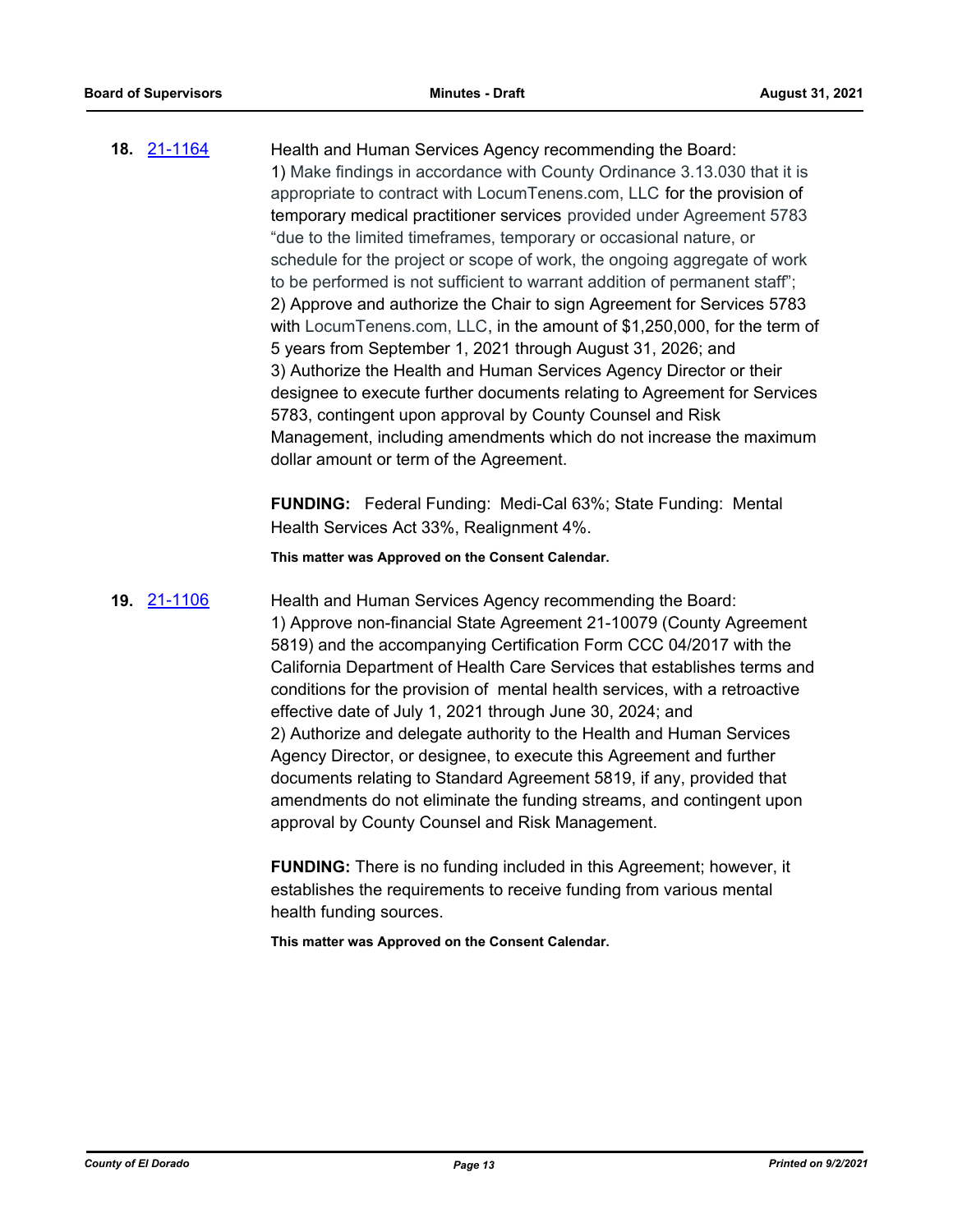**18.** [21-1164](http://eldorado.legistar.com/gateway.aspx?m=l&id=/matter.aspx?key=30059) Health and Human Services Agency recommending the Board: 1) Make findings in accordance with County Ordinance 3.13.030 that it is appropriate to contract with LocumTenens.com, LLC for the provision of temporary medical practitioner services provided under Agreement 5783 "due to the limited timeframes, temporary or occasional nature, or schedule for the project or scope of work, the ongoing aggregate of work to be performed is not sufficient to warrant addition of permanent staff"; 2) Approve and authorize the Chair to sign Agreement for Services 5783 with LocumTenens.com, LLC, in the amount of \$1,250,000, for the term of 5 years from September 1, 2021 through August 31, 2026; and 3) Authorize the Health and Human Services Agency Director or their designee to execute further documents relating to Agreement for Services 5783, contingent upon approval by County Counsel and Risk Management, including amendments which do not increase the maximum dollar amount or term of the Agreement.

> **FUNDING:** Federal Funding: Medi-Cal 63%; State Funding: Mental Health Services Act 33%, Realignment 4%.

**This matter was Approved on the Consent Calendar.**

**19.** [21-1106](http://eldorado.legistar.com/gateway.aspx?m=l&id=/matter.aspx?key=30001) Health and Human Services Agency recommending the Board: 1) Approve non-financial State Agreement 21-10079 (County Agreement 5819) and the accompanying Certification Form CCC 04/2017 with the California Department of Health Care Services that establishes terms and conditions for the provision of mental health services, with a retroactive effective date of July 1, 2021 through June 30, 2024; and 2) Authorize and delegate authority to the Health and Human Services Agency Director, or designee, to execute this Agreement and further documents relating to Standard Agreement 5819, if any, provided that amendments do not eliminate the funding streams, and contingent upon approval by County Counsel and Risk Management.

> **FUNDING:** There is no funding included in this Agreement; however, it establishes the requirements to receive funding from various mental health funding sources.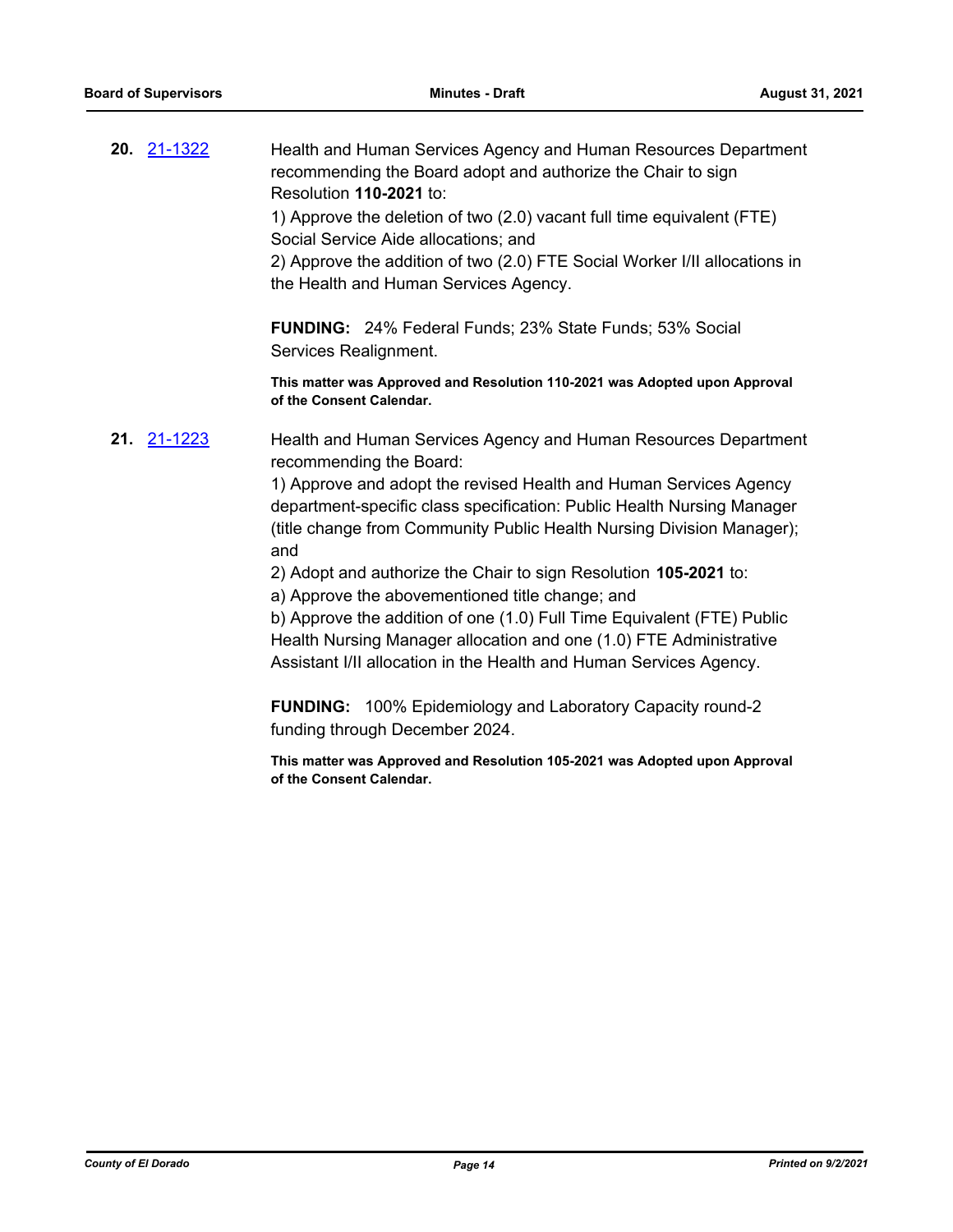**20.** [21-1322](http://eldorado.legistar.com/gateway.aspx?m=l&id=/matter.aspx?key=30217) Health and Human Services Agency and Human Resources Department recommending the Board adopt and authorize the Chair to sign Resolution **110-2021** to:

> 1) Approve the deletion of two (2.0) vacant full time equivalent (FTE) Social Service Aide allocations; and

2) Approve the addition of two (2.0) FTE Social Worker I/II allocations in the Health and Human Services Agency.

**FUNDING:** 24% Federal Funds; 23% State Funds; 53% Social Services Realignment.

**This matter was Approved and Resolution 110-2021 was Adopted upon Approval of the Consent Calendar.**

**21.** [21-1223](http://eldorado.legistar.com/gateway.aspx?m=l&id=/matter.aspx?key=30118) Health and Human Services Agency and Human Resources Department recommending the Board:

> 1) Approve and adopt the revised Health and Human Services Agency department-specific class specification: Public Health Nursing Manager (title change from Community Public Health Nursing Division Manager); and

2) Adopt and authorize the Chair to sign Resolution **105-2021** to:

a) Approve the abovementioned title change; and

b) Approve the addition of one (1.0) Full Time Equivalent (FTE) Public Health Nursing Manager allocation and one (1.0) FTE Administrative Assistant I/II allocation in the Health and Human Services Agency.

**FUNDING:** 100% Epidemiology and Laboratory Capacity round-2 funding through December 2024.

**This matter was Approved and Resolution 105-2021 was Adopted upon Approval of the Consent Calendar.**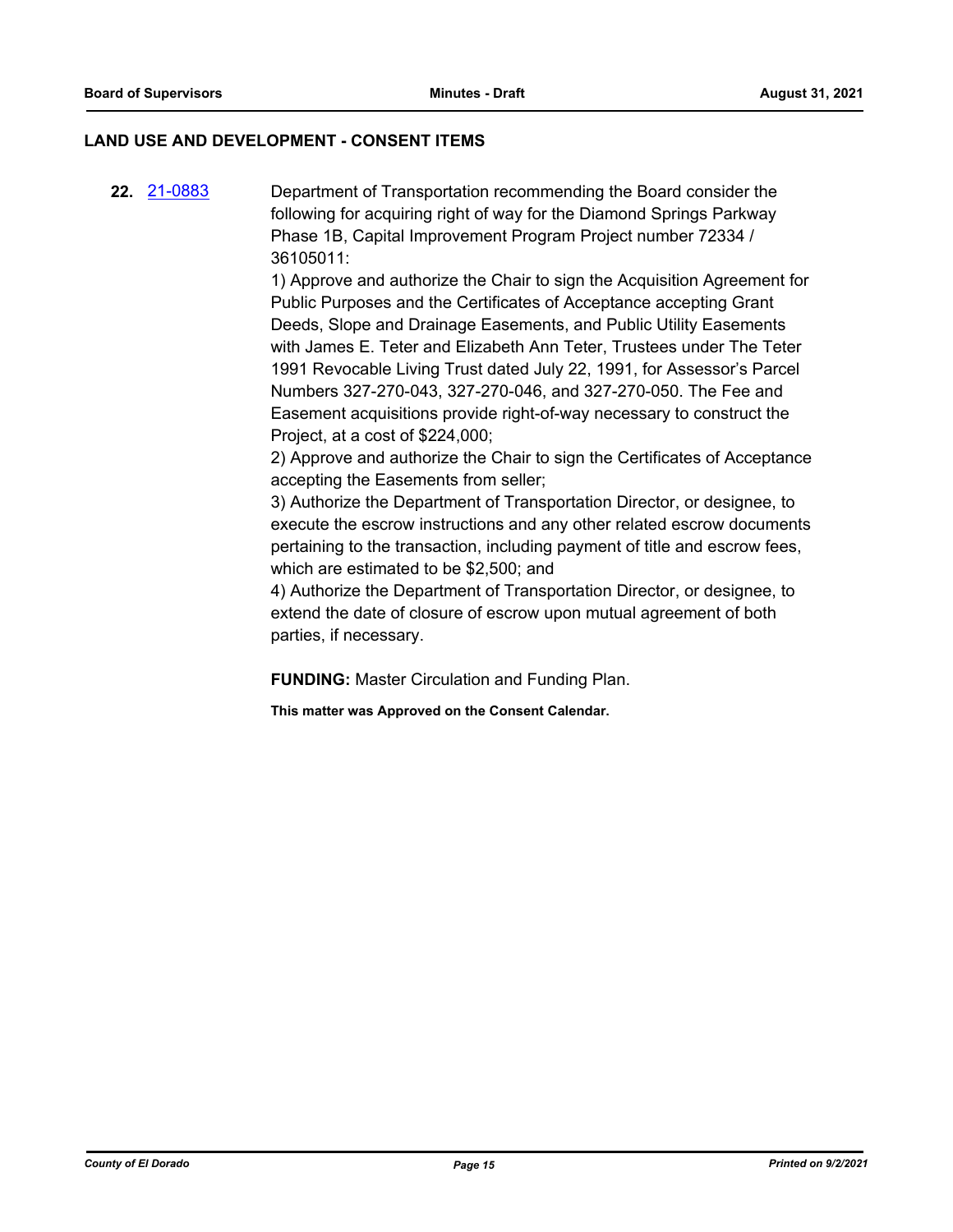#### **LAND USE AND DEVELOPMENT - CONSENT ITEMS**

**22.** [21-0883](http://eldorado.legistar.com/gateway.aspx?m=l&id=/matter.aspx?key=29778) Department of Transportation recommending the Board consider the following for acquiring right of way for the Diamond Springs Parkway Phase 1B, Capital Improvement Program Project number 72334 / 36105011:

> 1) Approve and authorize the Chair to sign the Acquisition Agreement for Public Purposes and the Certificates of Acceptance accepting Grant Deeds, Slope and Drainage Easements, and Public Utility Easements with James E. Teter and Elizabeth Ann Teter, Trustees under The Teter 1991 Revocable Living Trust dated July 22, 1991, for Assessor's Parcel Numbers 327-270-043, 327-270-046, and 327-270-050. The Fee and Easement acquisitions provide right-of-way necessary to construct the Project, at a cost of \$224,000;

> 2) Approve and authorize the Chair to sign the Certificates of Acceptance accepting the Easements from seller;

> 3) Authorize the Department of Transportation Director, or designee, to execute the escrow instructions and any other related escrow documents pertaining to the transaction, including payment of title and escrow fees, which are estimated to be \$2,500; and

4) Authorize the Department of Transportation Director, or designee, to extend the date of closure of escrow upon mutual agreement of both parties, if necessary.

**FUNDING:** Master Circulation and Funding Plan.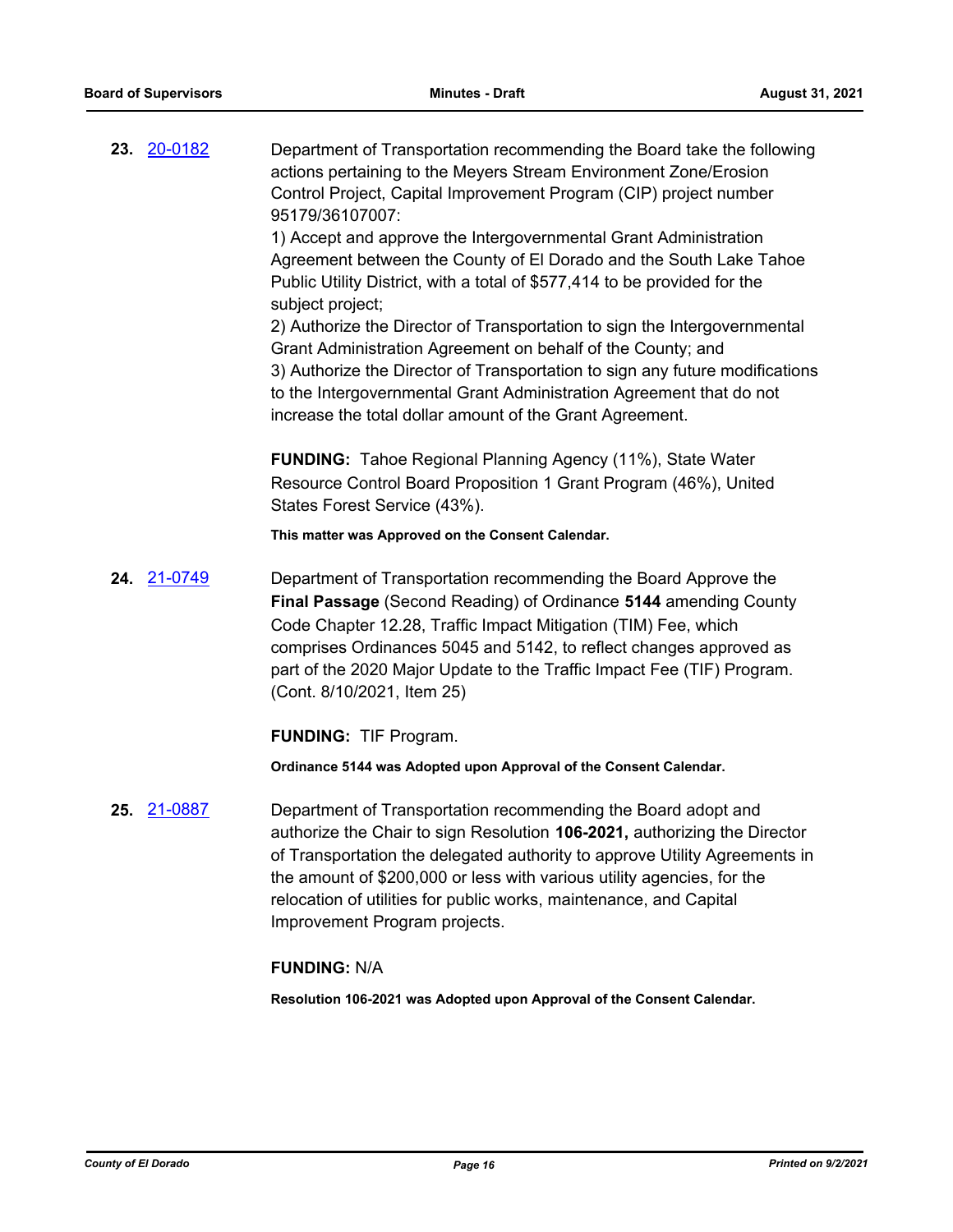**23.** [20-0182](http://eldorado.legistar.com/gateway.aspx?m=l&id=/matter.aspx?key=27387) Department of Transportation recommending the Board take the following actions pertaining to the Meyers Stream Environment Zone/Erosion Control Project, Capital Improvement Program (CIP) project number 95179/36107007:

> 1) Accept and approve the Intergovernmental Grant Administration Agreement between the County of El Dorado and the South Lake Tahoe Public Utility District, with a total of \$577,414 to be provided for the subject project;

2) Authorize the Director of Transportation to sign the Intergovernmental Grant Administration Agreement on behalf of the County; and 3) Authorize the Director of Transportation to sign any future modifications to the Intergovernmental Grant Administration Agreement that do not increase the total dollar amount of the Grant Agreement.

**FUNDING:** Tahoe Regional Planning Agency (11%), State Water Resource Control Board Proposition 1 Grant Program (46%), United States Forest Service (43%).

**This matter was Approved on the Consent Calendar.**

**24.** [21-0749](http://eldorado.legistar.com/gateway.aspx?m=l&id=/matter.aspx?key=29644) Department of Transportation recommending the Board Approve the **Final Passage** (Second Reading) of Ordinance **5144** amending County Code Chapter 12.28, Traffic Impact Mitigation (TIM) Fee, which comprises Ordinances 5045 and 5142, to reflect changes approved as part of the 2020 Major Update to the Traffic Impact Fee (TIF) Program. (Cont. 8/10/2021, Item 25)

**FUNDING:** TIF Program.

**Ordinance 5144 was Adopted upon Approval of the Consent Calendar.**

**25.** [21-0887](http://eldorado.legistar.com/gateway.aspx?m=l&id=/matter.aspx?key=29782) Department of Transportation recommending the Board adopt and authorize the Chair to sign Resolution **106-2021,** authorizing the Director of Transportation the delegated authority to approve Utility Agreements in the amount of \$200,000 or less with various utility agencies, for the relocation of utilities for public works, maintenance, and Capital Improvement Program projects.

# **FUNDING:** N/A

**Resolution 106-2021 was Adopted upon Approval of the Consent Calendar.**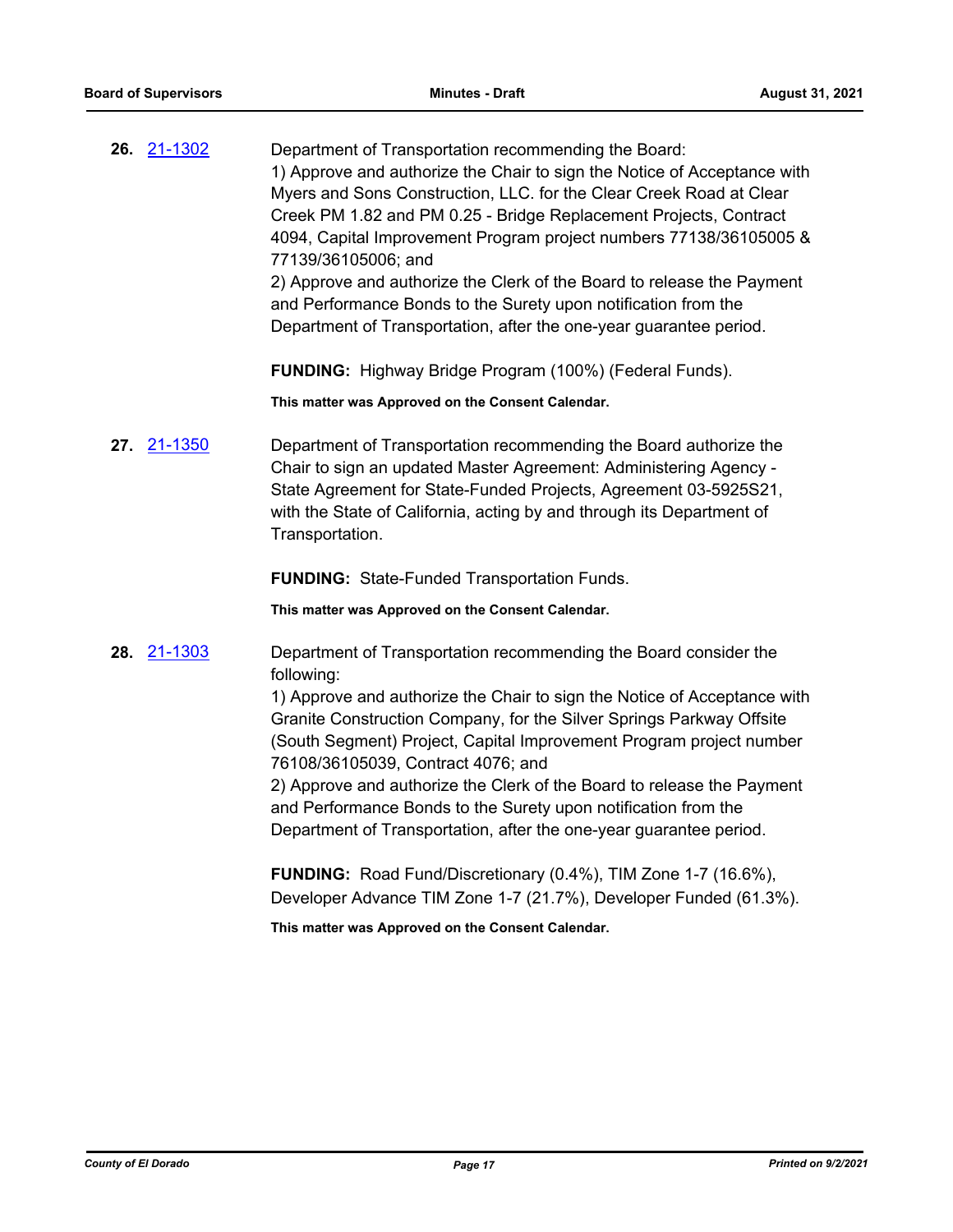| 26. 21-1302 | Department of Transportation recommending the Board:                     |
|-------------|--------------------------------------------------------------------------|
|             | 1) Approve and authorize the Chair to sign the Notice of Acceptance with |
|             | Myers and Sons Construction, LLC. for the Clear Creek Road at Clear      |
|             | Creek PM 1.82 and PM 0.25 - Bridge Replacement Projects, Contract        |
|             | 4094, Capital Improvement Program project numbers 77138/36105005 &       |
|             | 77139/36105006; and                                                      |
|             | 2) Approve and authorize the Clerk of the Board to release the Payment   |
|             | and Performance Bonds to the Surety upon notification from the           |
|             | Department of Transportation, after the one-year guarantee period.       |

**FUNDING:** Highway Bridge Program (100%) (Federal Funds).

**This matter was Approved on the Consent Calendar.**

**27.** [21-1350](http://eldorado.legistar.com/gateway.aspx?m=l&id=/matter.aspx?key=30245) Department of Transportation recommending the Board authorize the Chair to sign an updated Master Agreement: Administering Agency - State Agreement for State-Funded Projects, Agreement 03-5925S21, with the State of California, acting by and through its Department of Transportation.

**FUNDING:** State-Funded Transportation Funds.

**This matter was Approved on the Consent Calendar.**

**28.** [21-1303](http://eldorado.legistar.com/gateway.aspx?m=l&id=/matter.aspx?key=30198) Department of Transportation recommending the Board consider the following:

> 1) Approve and authorize the Chair to sign the Notice of Acceptance with Granite Construction Company, for the Silver Springs Parkway Offsite (South Segment) Project, Capital Improvement Program project number 76108/36105039, Contract 4076; and

2) Approve and authorize the Clerk of the Board to release the Payment and Performance Bonds to the Surety upon notification from the Department of Transportation, after the one-year guarantee period.

**FUNDING:** Road Fund/Discretionary (0.4%), TIM Zone 1-7 (16.6%), Developer Advance TIM Zone 1-7 (21.7%), Developer Funded (61.3%).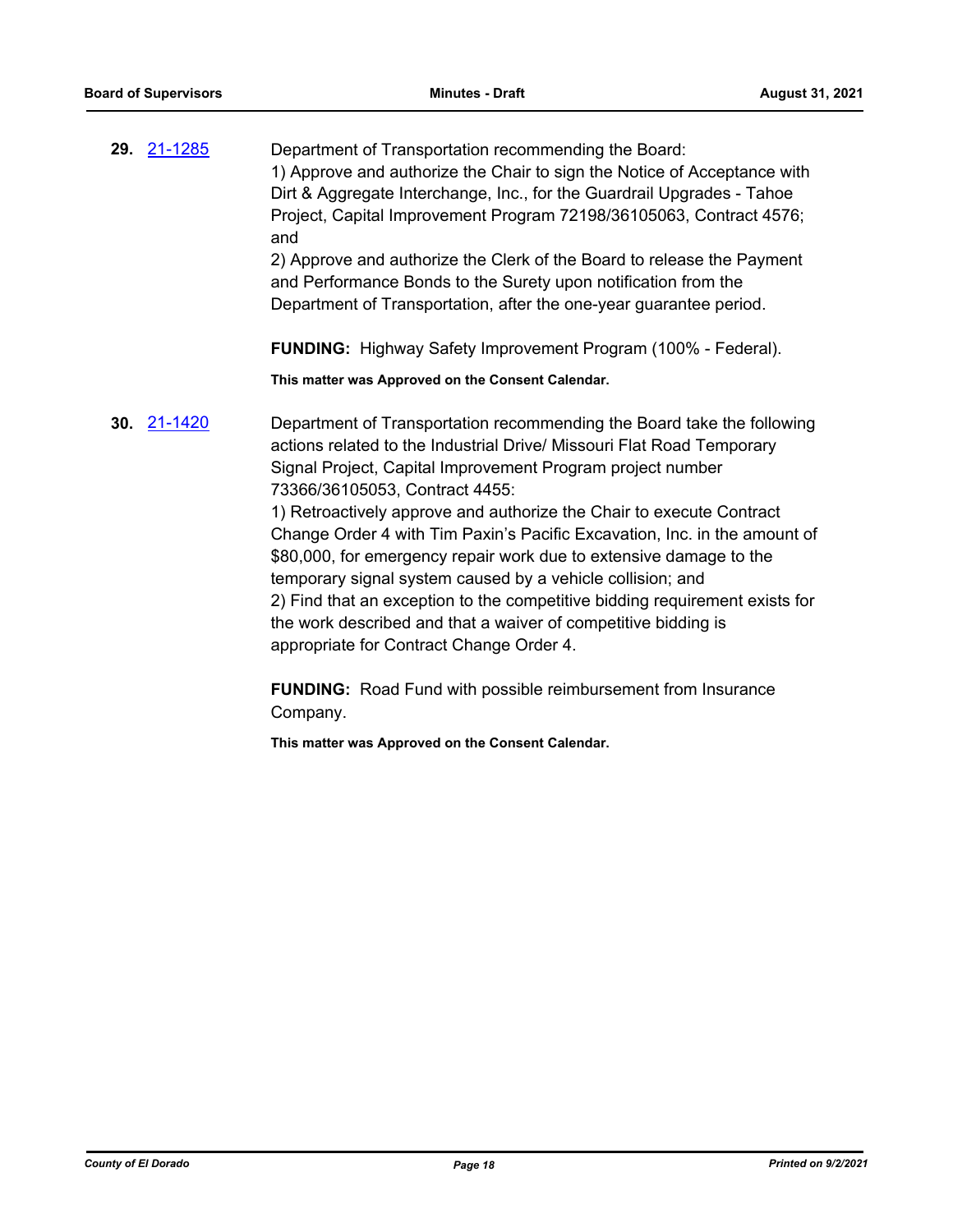| 29. 21-1285 | Department of Transportation recommending the Board:                     |
|-------------|--------------------------------------------------------------------------|
|             | 1) Approve and authorize the Chair to sign the Notice of Acceptance with |
|             | Dirt & Aggregate Interchange, Inc., for the Guardrail Upgrades - Tahoe   |
|             | Project, Capital Improvement Program 72198/36105063, Contract 4576;      |
|             | and                                                                      |
|             | 2) Approve and authorize the Clerk of the Board to release the Payment   |
|             | and Performance Bonds to the Surety upon notification from the           |
|             | Department of Transportation, after the one-year guarantee period.       |
|             |                                                                          |

**FUNDING:** Highway Safety Improvement Program (100% - Federal).

**This matter was Approved on the Consent Calendar.**

**30.** [21-1420](http://eldorado.legistar.com/gateway.aspx?m=l&id=/matter.aspx?key=30315) Department of Transportation recommending the Board take the following actions related to the Industrial Drive/ Missouri Flat Road Temporary Signal Project, Capital Improvement Program project number 73366/36105053, Contract 4455:

1) Retroactively approve and authorize the Chair to execute Contract Change Order 4 with Tim Paxin's Pacific Excavation, Inc. in the amount of \$80,000, for emergency repair work due to extensive damage to the temporary signal system caused by a vehicle collision; and 2) Find that an exception to the competitive bidding requirement exists for the work described and that a waiver of competitive bidding is appropriate for Contract Change Order 4.

**FUNDING:** Road Fund with possible reimbursement from Insurance Company.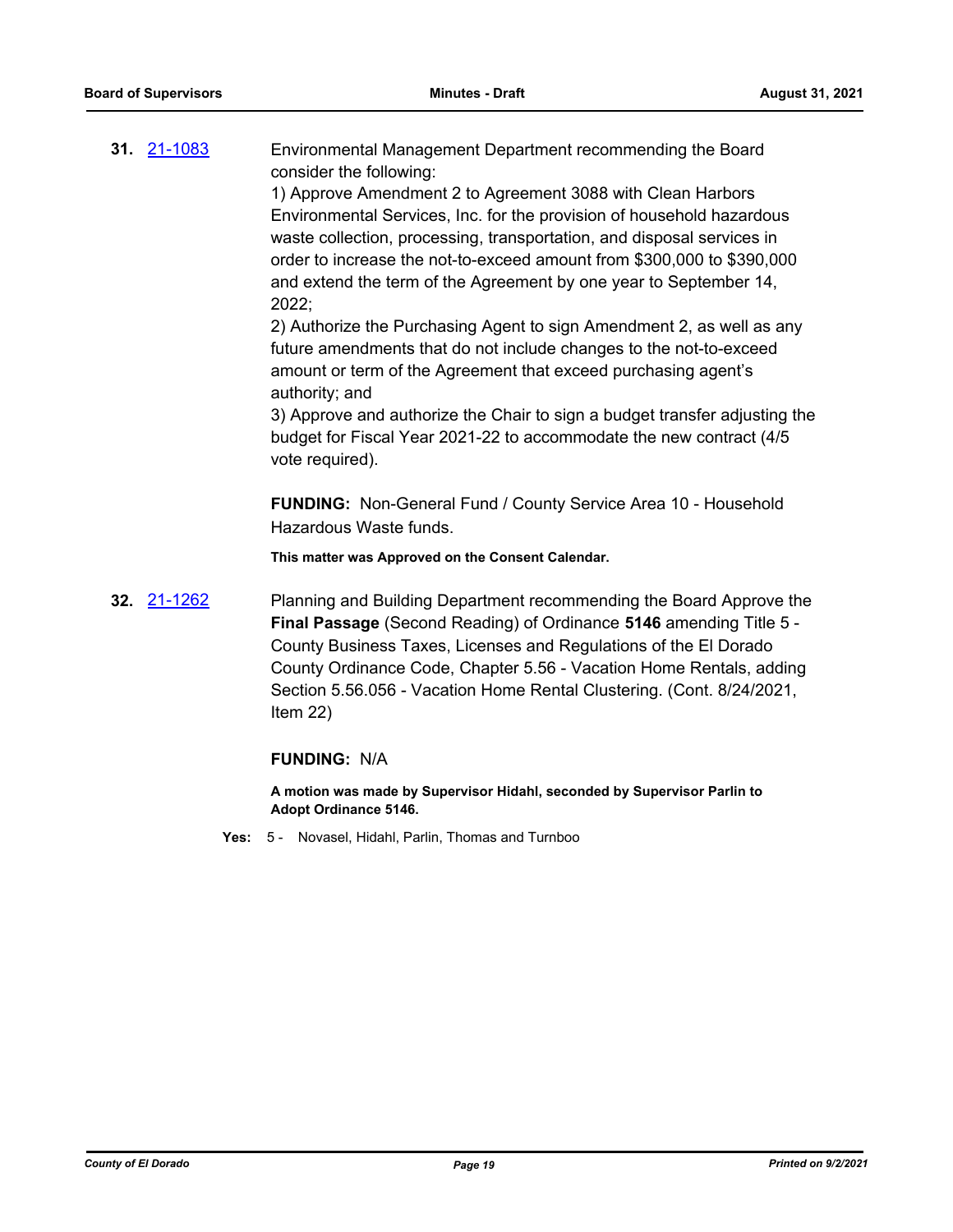**31.** [21-1083](http://eldorado.legistar.com/gateway.aspx?m=l&id=/matter.aspx?key=29977) Environmental Management Department recommending the Board consider the following:

1) Approve Amendment 2 to Agreement 3088 with Clean Harbors Environmental Services, Inc. for the provision of household hazardous waste collection, processing, transportation, and disposal services in order to increase the not-to-exceed amount from \$300,000 to \$390,000 and extend the term of the Agreement by one year to September 14, 2022;

2) Authorize the Purchasing Agent to sign Amendment 2, as well as any future amendments that do not include changes to the not-to-exceed amount or term of the Agreement that exceed purchasing agent's authority; and

3) Approve and authorize the Chair to sign a budget transfer adjusting the budget for Fiscal Year 2021-22 to accommodate the new contract (4/5 vote required).

**FUNDING:** Non-General Fund / County Service Area 10 - Household Hazardous Waste funds.

**This matter was Approved on the Consent Calendar.**

**32.** [21-1262](http://eldorado.legistar.com/gateway.aspx?m=l&id=/matter.aspx?key=30157) Planning and Building Department recommending the Board Approve the **Final Passage** (Second Reading) of Ordinance **5146** amending Title 5 - County Business Taxes, Licenses and Regulations of the El Dorado County Ordinance Code, Chapter 5.56 - Vacation Home Rentals, adding Section 5.56.056 - Vacation Home Rental Clustering. (Cont. 8/24/2021, Item 22)

#### **FUNDING:** N/A

**A motion was made by Supervisor Hidahl, seconded by Supervisor Parlin to Adopt Ordinance 5146.**

**Yes:** 5 - Novasel, Hidahl, Parlin, Thomas and Turnboo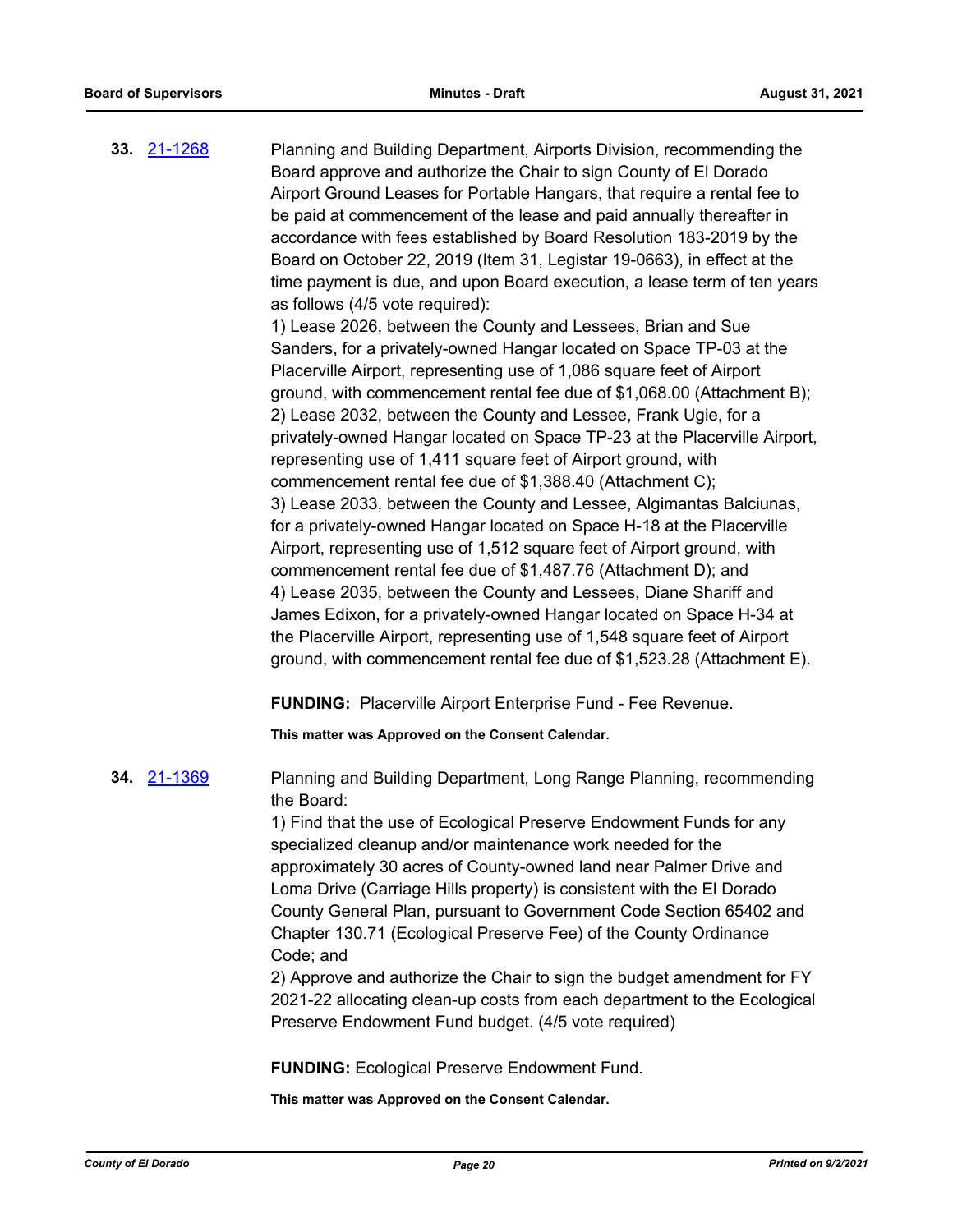| as follows (4/5 vote required):<br>1) Lease 2026, between the County and Lessees, Brian and Sue<br>Sanders, for a privately-owned Hangar located on Space TP-03 at the<br>Placerville Airport, representing use of 1,086 square feet of Airport<br>ground, with commencement rental fee due of \$1,068.00 (Attachment B);<br>2) Lease 2032, between the County and Lessee, Frank Ugie, for a<br>privately-owned Hangar located on Space TP-23 at the Placerville Airport,<br>representing use of 1,411 square feet of Airport ground, with<br>commencement rental fee due of \$1,388.40 (Attachment C);<br>3) Lease 2033, between the County and Lessee, Algimantas Balciunas,<br>for a privately-owned Hangar located on Space H-18 at the Placerville<br>Airport, representing use of 1,512 square feet of Airport ground, with<br>commencement rental fee due of \$1,487.76 (Attachment D); and<br>4) Lease 2035, between the County and Lessees, Diane Shariff and<br>James Edixon, for a privately-owned Hangar located on Space H-34 at<br>the Placerville Airport, representing use of 1,548 square feet of Airport<br>ground, with commencement rental fee due of \$1,523.28 (Attachment E). |
|------------------------------------------------------------------------------------------------------------------------------------------------------------------------------------------------------------------------------------------------------------------------------------------------------------------------------------------------------------------------------------------------------------------------------------------------------------------------------------------------------------------------------------------------------------------------------------------------------------------------------------------------------------------------------------------------------------------------------------------------------------------------------------------------------------------------------------------------------------------------------------------------------------------------------------------------------------------------------------------------------------------------------------------------------------------------------------------------------------------------------------------------------------------------------------------------------|
| <b>FUNDING:</b> Placerville Airport Enterprise Fund - Fee Revenue.                                                                                                                                                                                                                                                                                                                                                                                                                                                                                                                                                                                                                                                                                                                                                                                                                                                                                                                                                                                                                                                                                                                                   |
| This matter was Approved on the Consent Calendar.                                                                                                                                                                                                                                                                                                                                                                                                                                                                                                                                                                                                                                                                                                                                                                                                                                                                                                                                                                                                                                                                                                                                                    |
| Planning and Building Department, Long Range Planning, recommending<br>the Board:<br>1) Find that the use of Ecological Preserve Endowment Funds for any<br>specialized cleanup and/or maintenance work needed for the<br>approximately 30 acres of County-owned land near Palmer Drive and<br>Loma Drive (Carriage Hills property) is consistent with the El Dorado<br>County General Plan, pursuant to Government Code Section 65402 and<br>Chapter 130.71 (Ecological Preserve Fee) of the County Ordinance<br>Code; and<br>2) Approve and authorize the Chair to sign the budget amendment for FY<br>2021-22 allocating clean-up costs from each department to the Ecological<br>Preserve Endowment Fund budget. (4/5 vote required)<br><b>FUNDING: Ecological Preserve Endowment Fund.</b><br>This matter was Approved on the Consent Calendar.                                                                                                                                                                                                                                                                                                                                                 |
|                                                                                                                                                                                                                                                                                                                                                                                                                                                                                                                                                                                                                                                                                                                                                                                                                                                                                                                                                                                                                                                                                                                                                                                                      |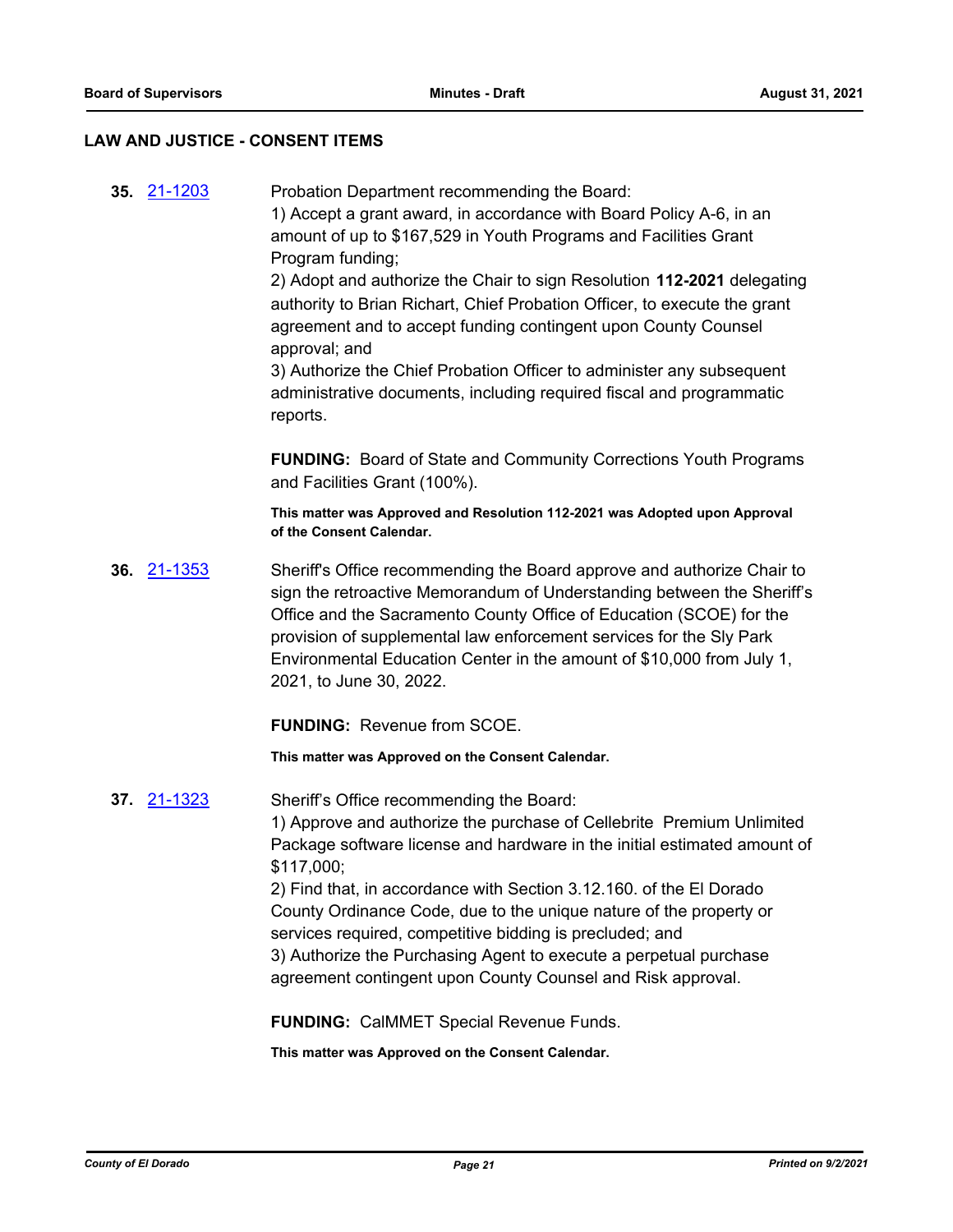#### **LAW AND JUSTICE - CONSENT ITEMS**

**35.** [21-1203](http://eldorado.legistar.com/gateway.aspx?m=l&id=/matter.aspx?key=30098) Probation Department recommending the Board: 1) Accept a grant award, in accordance with Board Policy A-6, in an amount of up to \$167,529 in Youth Programs and Facilities Grant Program funding; 2) Adopt and authorize the Chair to sign Resolution **112-2021** delegating authority to Brian Richart, Chief Probation Officer, to execute the grant agreement and to accept funding contingent upon County Counsel approval; and 3) Authorize the Chief Probation Officer to administer any subsequent administrative documents, including required fiscal and programmatic reports. **FUNDING:** Board of State and Community Corrections Youth Programs and Facilities Grant (100%). **This matter was Approved and Resolution 112-2021 was Adopted upon Approval of the Consent Calendar. 36.** [21-1353](http://eldorado.legistar.com/gateway.aspx?m=l&id=/matter.aspx?key=30248) Sheriff's Office recommending the Board approve and authorize Chair to sign the retroactive Memorandum of Understanding between the Sheriff's Office and the Sacramento County Office of Education (SCOE) for the provision of supplemental law enforcement services for the Sly Park Environmental Education Center in the amount of \$10,000 from July 1, 2021, to June 30, 2022. **FUNDING:** Revenue from SCOE. **This matter was Approved on the Consent Calendar. 37.** [21-1323](http://eldorado.legistar.com/gateway.aspx?m=l&id=/matter.aspx?key=30218) Sheriff's Office recommending the Board: 1) Approve and authorize the purchase of Cellebrite Premium Unlimited Package software license and hardware in the initial estimated amount of \$117,000; 2) Find that, in accordance with Section 3.12.160. of the El Dorado County Ordinance Code, due to the unique nature of the property or services required, competitive bidding is precluded; and 3) Authorize the Purchasing Agent to execute a perpetual purchase agreement contingent upon County Counsel and Risk approval. **FUNDING:** CalMMET Special Revenue Funds.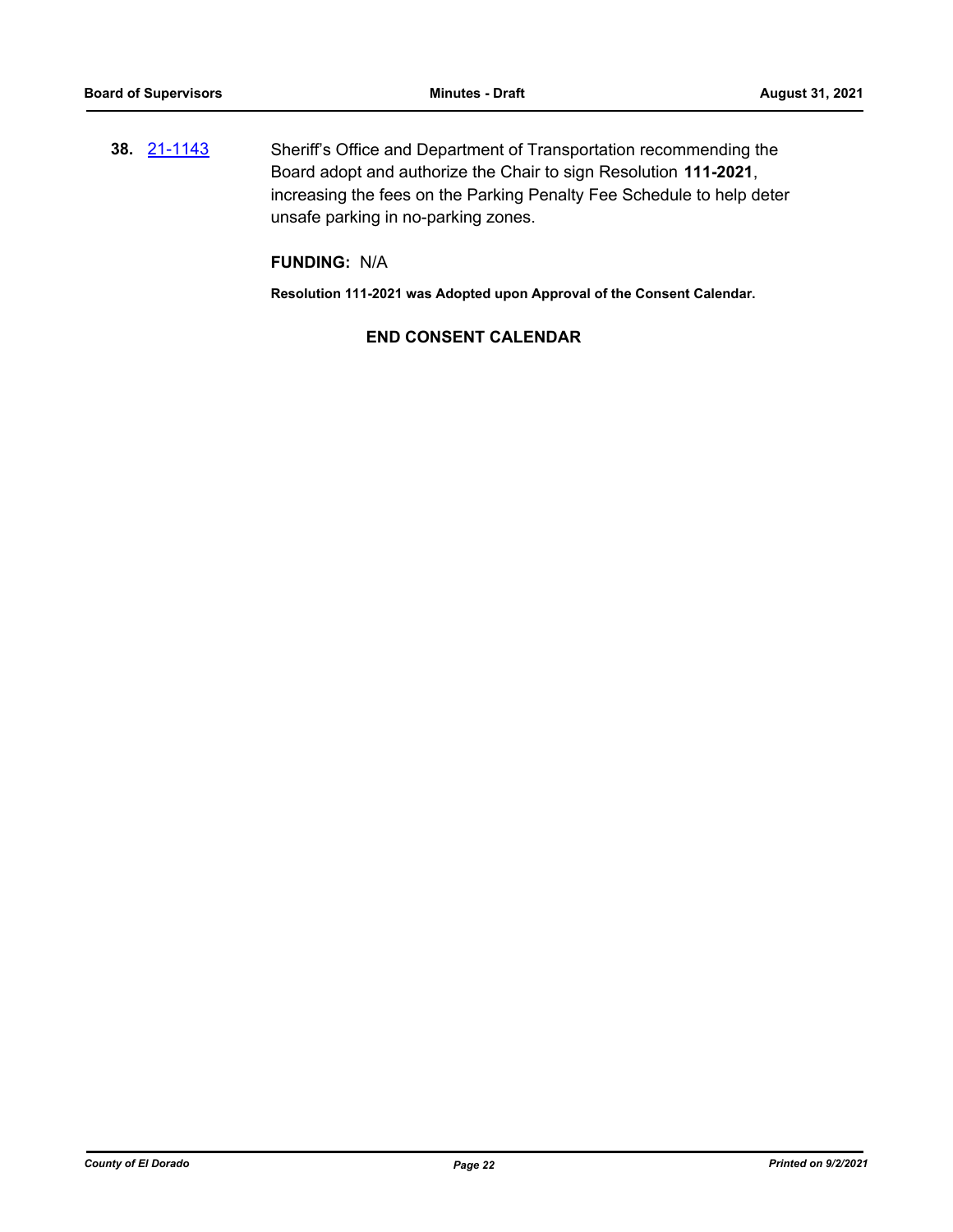**38.** [21-1143](http://eldorado.legistar.com/gateway.aspx?m=l&id=/matter.aspx?key=30038) Sheriff's Office and Department of Transportation recommending the Board adopt and authorize the Chair to sign Resolution **111-2021**, increasing the fees on the Parking Penalty Fee Schedule to help deter unsafe parking in no-parking zones.

# **FUNDING:** N/A

**Resolution 111-2021 was Adopted upon Approval of the Consent Calendar.**

# **END CONSENT CALENDAR**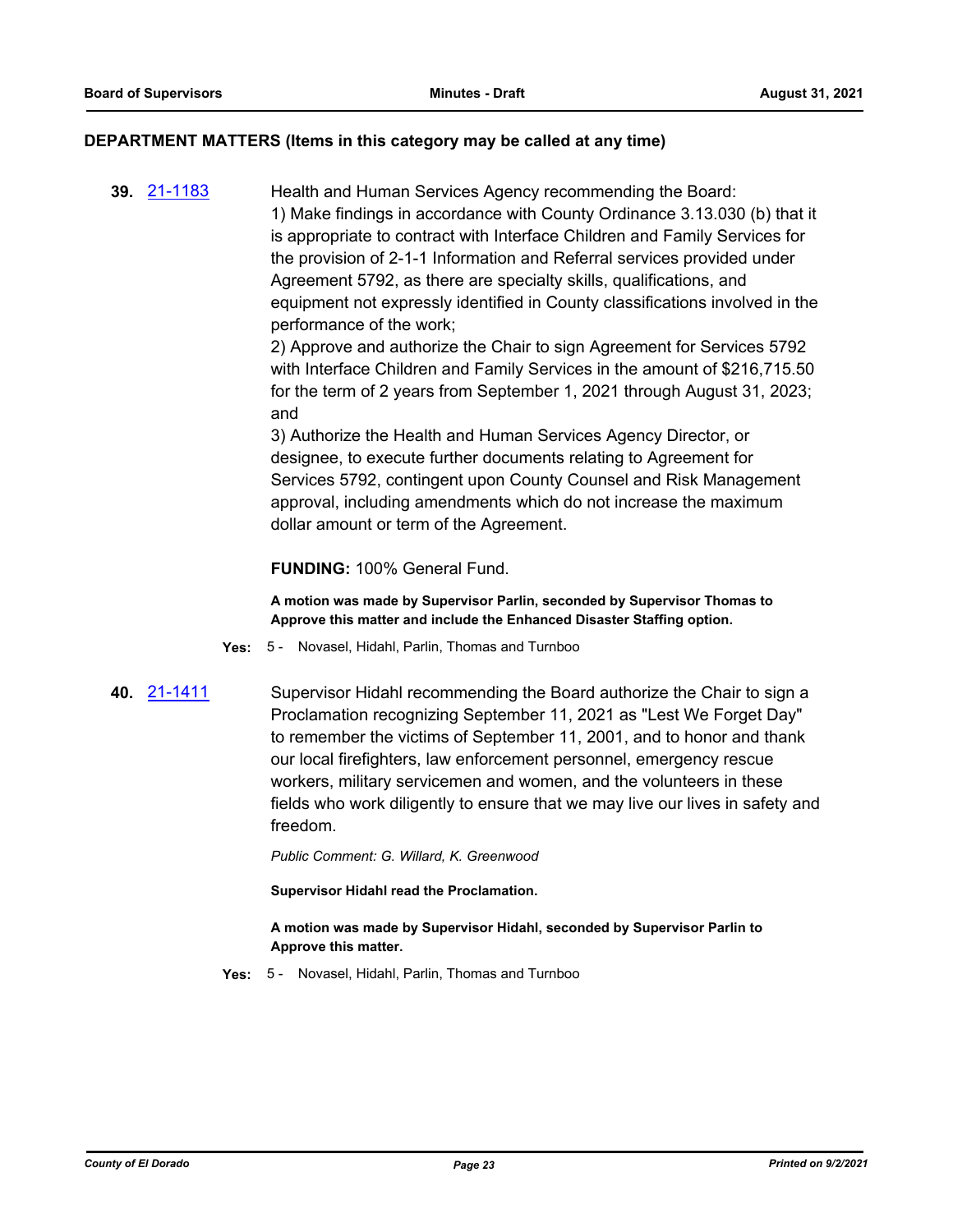#### **DEPARTMENT MATTERS (Items in this category may be called at any time)**

**39.** [21-1183](http://eldorado.legistar.com/gateway.aspx?m=l&id=/matter.aspx?key=30078) Health and Human Services Agency recommending the Board: 1) Make findings in accordance with County Ordinance 3.13.030 (b) that it is appropriate to contract with Interface Children and Family Services for the provision of 2-1-1 Information and Referral services provided under Agreement 5792, as there are specialty skills, qualifications, and equipment not expressly identified in County classifications involved in the performance of the work;

2) Approve and authorize the Chair to sign Agreement for Services 5792 with Interface Children and Family Services in the amount of \$216,715.50 for the term of 2 years from September 1, 2021 through August 31, 2023; and

3) Authorize the Health and Human Services Agency Director, or designee, to execute further documents relating to Agreement for Services 5792, contingent upon County Counsel and Risk Management approval, including amendments which do not increase the maximum dollar amount or term of the Agreement.

#### **FUNDING:** 100% General Fund.

**A motion was made by Supervisor Parlin, seconded by Supervisor Thomas to Approve this matter and include the Enhanced Disaster Staffing option.**

- **Yes:** 5 Novasel, Hidahl, Parlin, Thomas and Turnboo
- 

**40.** [21-1411](http://eldorado.legistar.com/gateway.aspx?m=l&id=/matter.aspx?key=30306) Supervisor Hidahl recommending the Board authorize the Chair to sign a Proclamation recognizing September 11, 2021 as "Lest We Forget Day" to remember the victims of September 11, 2001, and to honor and thank our local firefighters, law enforcement personnel, emergency rescue workers, military servicemen and women, and the volunteers in these fields who work diligently to ensure that we may live our lives in safety and freedom.

*Public Comment: G. Willard, K. Greenwood*

**Supervisor Hidahl read the Proclamation.**

**A motion was made by Supervisor Hidahl, seconded by Supervisor Parlin to Approve this matter.**

**Yes:** 5 - Novasel, Hidahl, Parlin, Thomas and Turnboo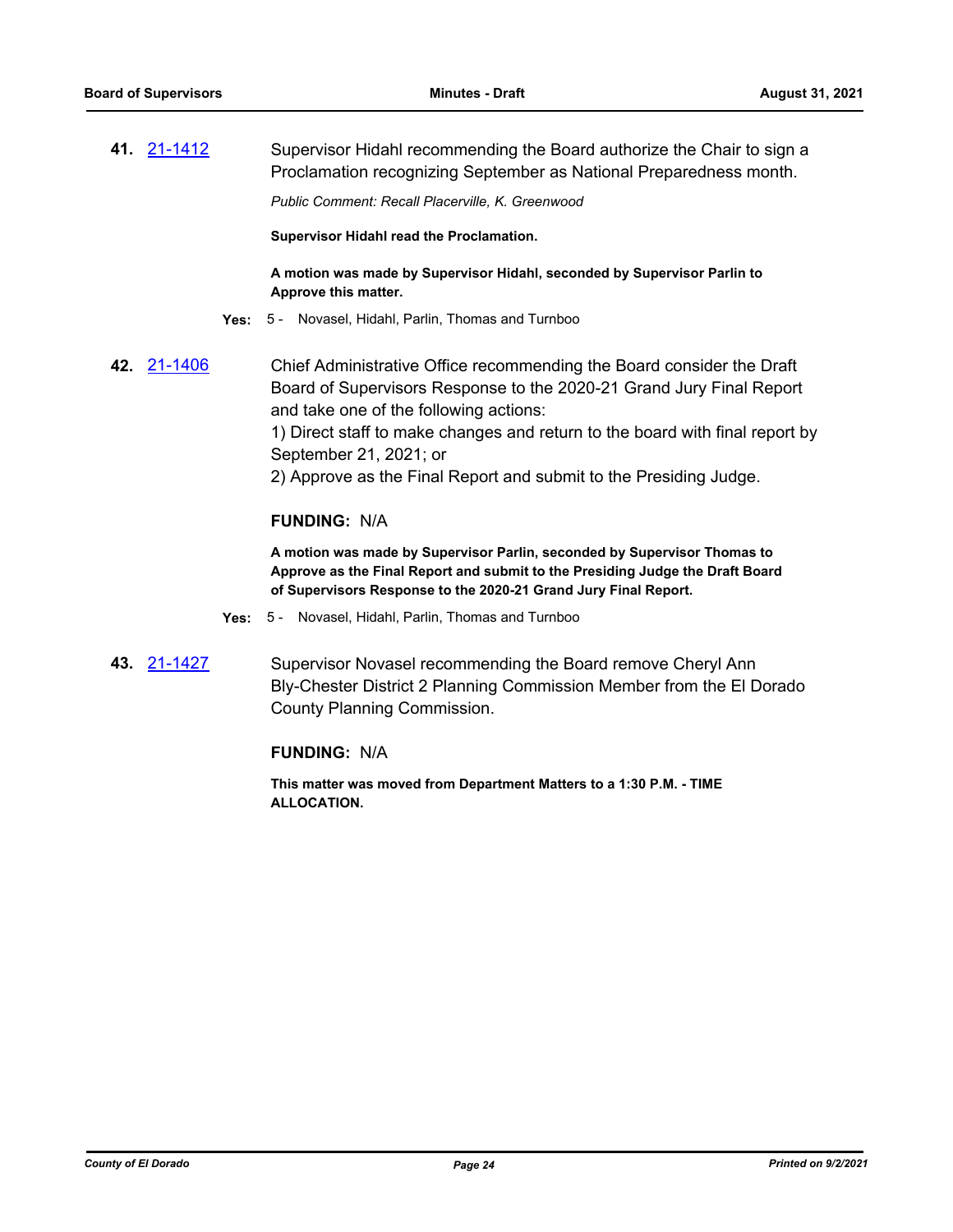**41.** [21-1412](http://eldorado.legistar.com/gateway.aspx?m=l&id=/matter.aspx?key=30307) Supervisor Hidahl recommending the Board authorize the Chair to sign a Proclamation recognizing September as National Preparedness month.

*Public Comment: Recall Placerville, K. Greenwood*

**Supervisor Hidahl read the Proclamation.**

**A motion was made by Supervisor Hidahl, seconded by Supervisor Parlin to Approve this matter.**

- **Yes:** 5 Novasel, Hidahl, Parlin, Thomas and Turnboo
- **42.** [21-1406](http://eldorado.legistar.com/gateway.aspx?m=l&id=/matter.aspx?key=30301) Chief Administrative Office recommending the Board consider the Draft Board of Supervisors Response to the 2020-21 Grand Jury Final Report and take one of the following actions: 1) Direct staff to make changes and return to the board with final report by September 21, 2021; or 2) Approve as the Final Report and submit to the Presiding Judge. **FUNDING:** N/A

**A motion was made by Supervisor Parlin, seconded by Supervisor Thomas to Approve as the Final Report and submit to the Presiding Judge the Draft Board of Supervisors Response to the 2020-21 Grand Jury Final Report.**

- **Yes:** 5 Novasel, Hidahl, Parlin, Thomas and Turnboo
- **43.** [21-1427](http://eldorado.legistar.com/gateway.aspx?m=l&id=/matter.aspx?key=30322) Supervisor Novasel recommending the Board remove Cheryl Ann Bly-Chester District 2 Planning Commission Member from the El Dorado County Planning Commission.

#### **FUNDING:** N/A

**This matter was moved from Department Matters to a 1:30 P.M. - TIME ALLOCATION.**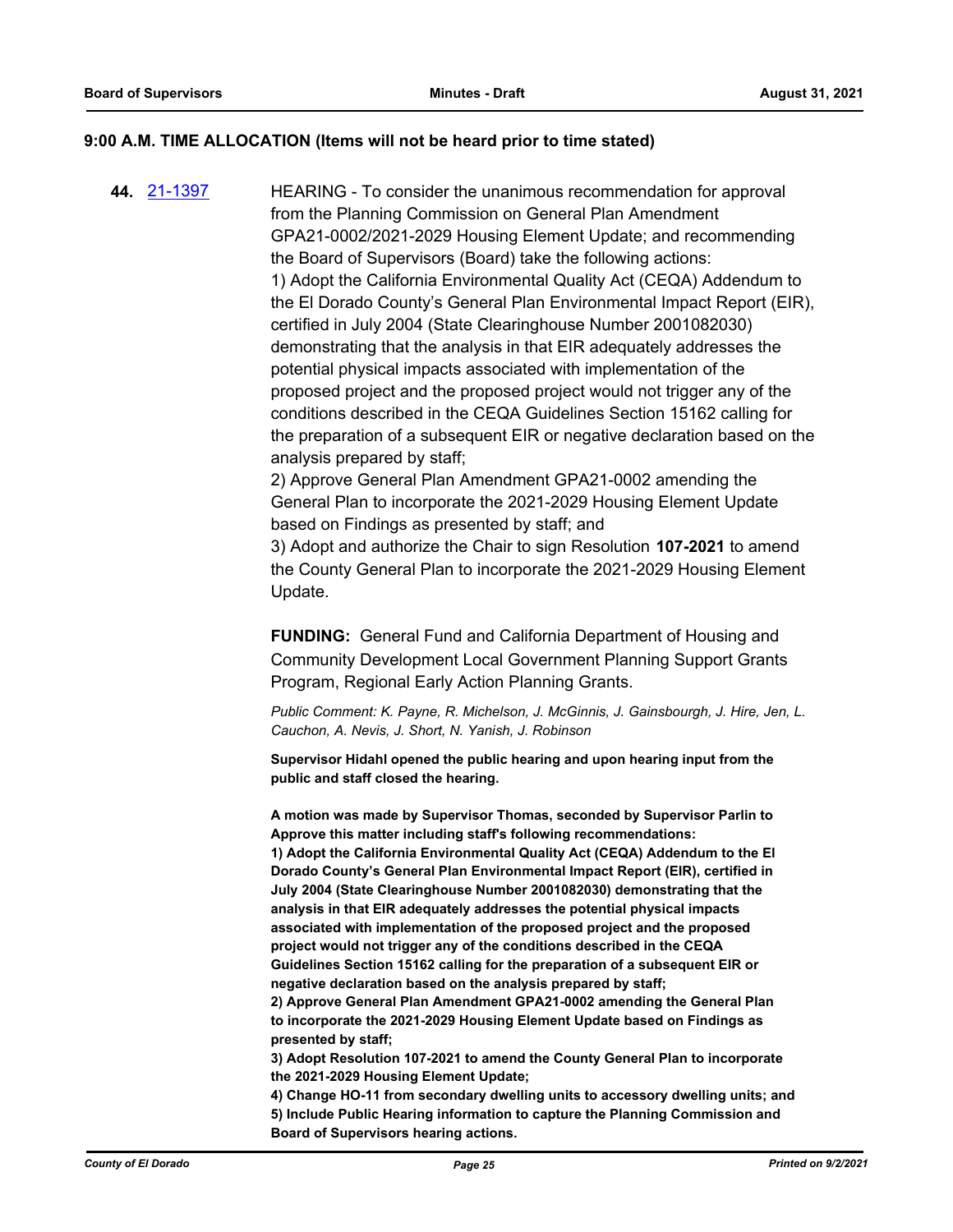#### **9:00 A.M. TIME ALLOCATION (Items will not be heard prior to time stated)**

**44.** [21-1397](http://eldorado.legistar.com/gateway.aspx?m=l&id=/matter.aspx?key=30292) HEARING - To consider the unanimous recommendation for approval from the Planning Commission on General Plan Amendment GPA21-0002/2021-2029 Housing Element Update; and recommending the Board of Supervisors (Board) take the following actions: 1) Adopt the California Environmental Quality Act (CEQA) Addendum to the El Dorado County's General Plan Environmental Impact Report (EIR), certified in July 2004 (State Clearinghouse Number 2001082030) demonstrating that the analysis in that EIR adequately addresses the potential physical impacts associated with implementation of the proposed project and the proposed project would not trigger any of the conditions described in the CEQA Guidelines Section 15162 calling for the preparation of a subsequent EIR or negative declaration based on the analysis prepared by staff;

> 2) Approve General Plan Amendment GPA21-0002 amending the General Plan to incorporate the 2021-2029 Housing Element Update based on Findings as presented by staff; and

3) Adopt and authorize the Chair to sign Resolution **107-2021** to amend the County General Plan to incorporate the 2021-2029 Housing Element Update.

**FUNDING:** General Fund and California Department of Housing and Community Development Local Government Planning Support Grants Program, Regional Early Action Planning Grants.

*Public Comment: K. Payne, R. Michelson, J. McGinnis, J. Gainsbourgh, J. Hire, Jen, L. Cauchon, A. Nevis, J. Short, N. Yanish, J. Robinson*

**Supervisor Hidahl opened the public hearing and upon hearing input from the public and staff closed the hearing.**

**A motion was made by Supervisor Thomas, seconded by Supervisor Parlin to Approve this matter including staff's following recommendations: 1) Adopt the California Environmental Quality Act (CEQA) Addendum to the El Dorado County's General Plan Environmental Impact Report (EIR), certified in July 2004 (State Clearinghouse Number 2001082030) demonstrating that the analysis in that EIR adequately addresses the potential physical impacts associated with implementation of the proposed project and the proposed project would not trigger any of the conditions described in the CEQA Guidelines Section 15162 calling for the preparation of a subsequent EIR or negative declaration based on the analysis prepared by staff;** 

**2) Approve General Plan Amendment GPA21-0002 amending the General Plan to incorporate the 2021-2029 Housing Element Update based on Findings as presented by staff;** 

**3) Adopt Resolution 107-2021 to amend the County General Plan to incorporate the 2021-2029 Housing Element Update;**

**4) Change HO-11 from secondary dwelling units to accessory dwelling units; and 5) Include Public Hearing information to capture the Planning Commission and Board of Supervisors hearing actions.**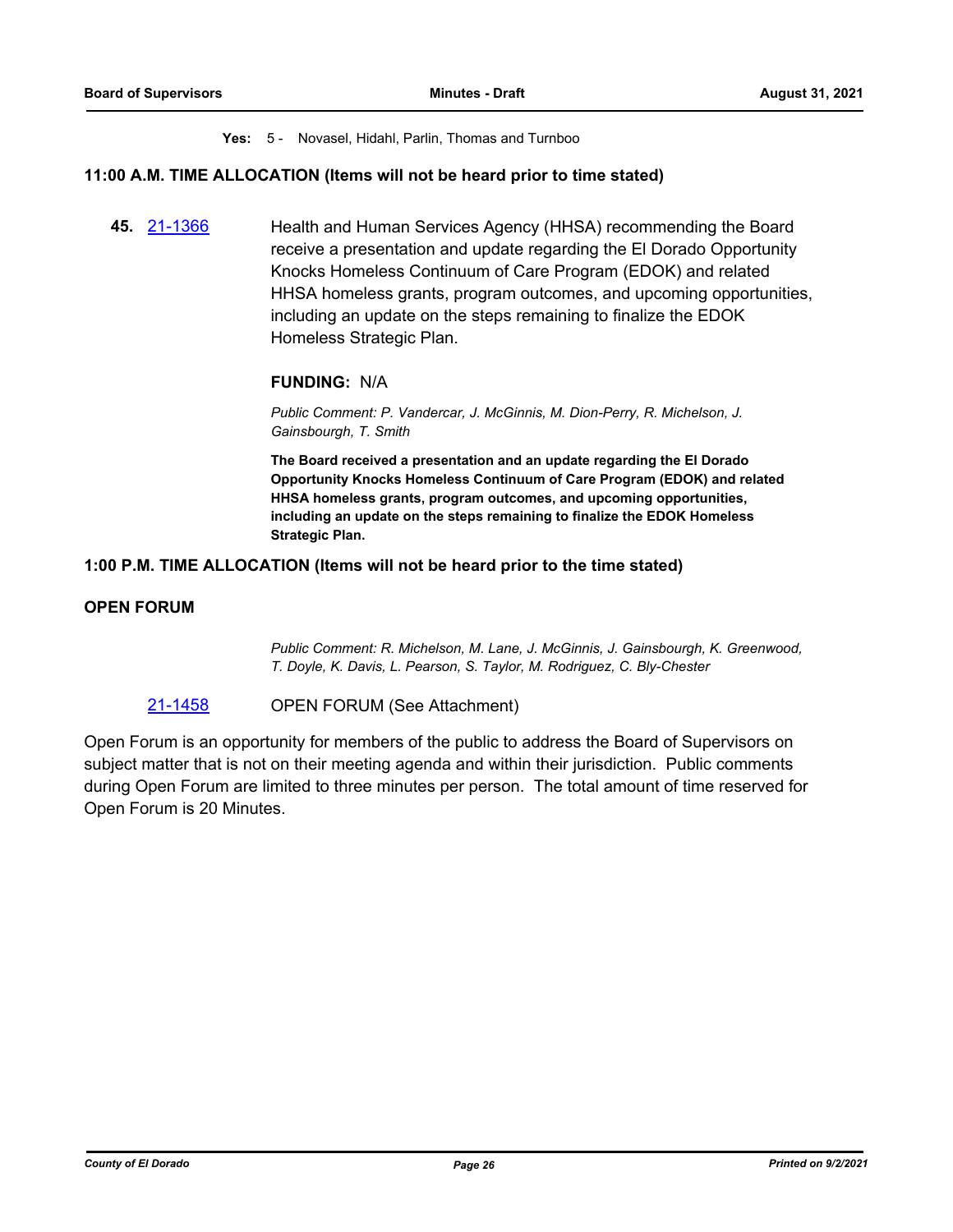#### **Yes:** 5 - Novasel, Hidahl, Parlin, Thomas and Turnboo

#### **11:00 A.M. TIME ALLOCATION (Items will not be heard prior to time stated)**

**45.** [21-1366](http://eldorado.legistar.com/gateway.aspx?m=l&id=/matter.aspx?key=30261) Health and Human Services Agency (HHSA) recommending the Board receive a presentation and update regarding the El Dorado Opportunity Knocks Homeless Continuum of Care Program (EDOK) and related HHSA homeless grants, program outcomes, and upcoming opportunities, including an update on the steps remaining to finalize the EDOK Homeless Strategic Plan.

# **FUNDING:** N/A

*Public Comment: P. Vandercar, J. McGinnis, M. Dion-Perry, R. Michelson, J. Gainsbourgh, T. Smith*

**The Board received a presentation and an update regarding the El Dorado Opportunity Knocks Homeless Continuum of Care Program (EDOK) and related HHSA homeless grants, program outcomes, and upcoming opportunities, including an update on the steps remaining to finalize the EDOK Homeless Strategic Plan.**

#### **1:00 P.M. TIME ALLOCATION (Items will not be heard prior to the time stated)**

### **OPEN FORUM**

*Public Comment: R. Michelson, M. Lane, J. McGinnis, J. Gainsbourgh, K. Greenwood, T. Doyle, K. Davis, L. Pearson, S. Taylor, M. Rodriguez, C. Bly-Chester*

#### [21-1458](http://eldorado.legistar.com/gateway.aspx?m=l&id=/matter.aspx?key=30353) OPEN FORUM (See Attachment)

Open Forum is an opportunity for members of the public to address the Board of Supervisors on subject matter that is not on their meeting agenda and within their jurisdiction. Public comments during Open Forum are limited to three minutes per person. The total amount of time reserved for Open Forum is 20 Minutes.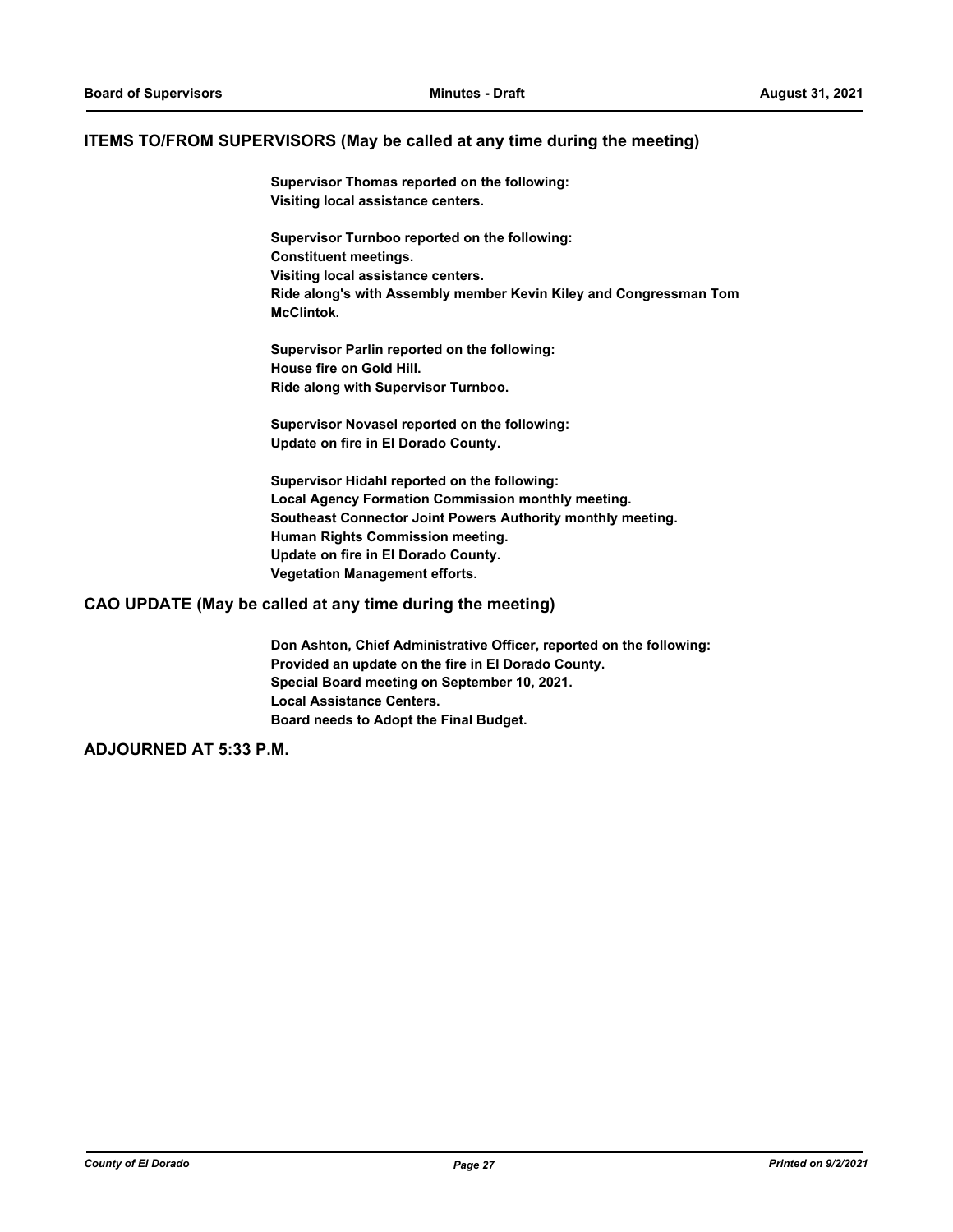#### **ITEMS TO/FROM SUPERVISORS (May be called at any time during the meeting)**

**Supervisor Thomas reported on the following: Visiting local assistance centers.**

**Supervisor Turnboo reported on the following: Constituent meetings. Visiting local assistance centers. Ride along's with Assembly member Kevin Kiley and Congressman Tom McClintok.**

**Supervisor Parlin reported on the following: House fire on Gold Hill. Ride along with Supervisor Turnboo.**

**Supervisor Novasel reported on the following: Update on fire in El Dorado County.**

**Supervisor Hidahl reported on the following: Local Agency Formation Commission monthly meeting. Southeast Connector Joint Powers Authority monthly meeting. Human Rights Commission meeting. Update on fire in El Dorado County. Vegetation Management efforts.**

#### **CAO UPDATE (May be called at any time during the meeting)**

**Don Ashton, Chief Administrative Officer, reported on the following: Provided an update on the fire in El Dorado County. Special Board meeting on September 10, 2021. Local Assistance Centers. Board needs to Adopt the Final Budget.**

**ADJOURNED AT 5:33 P.M.**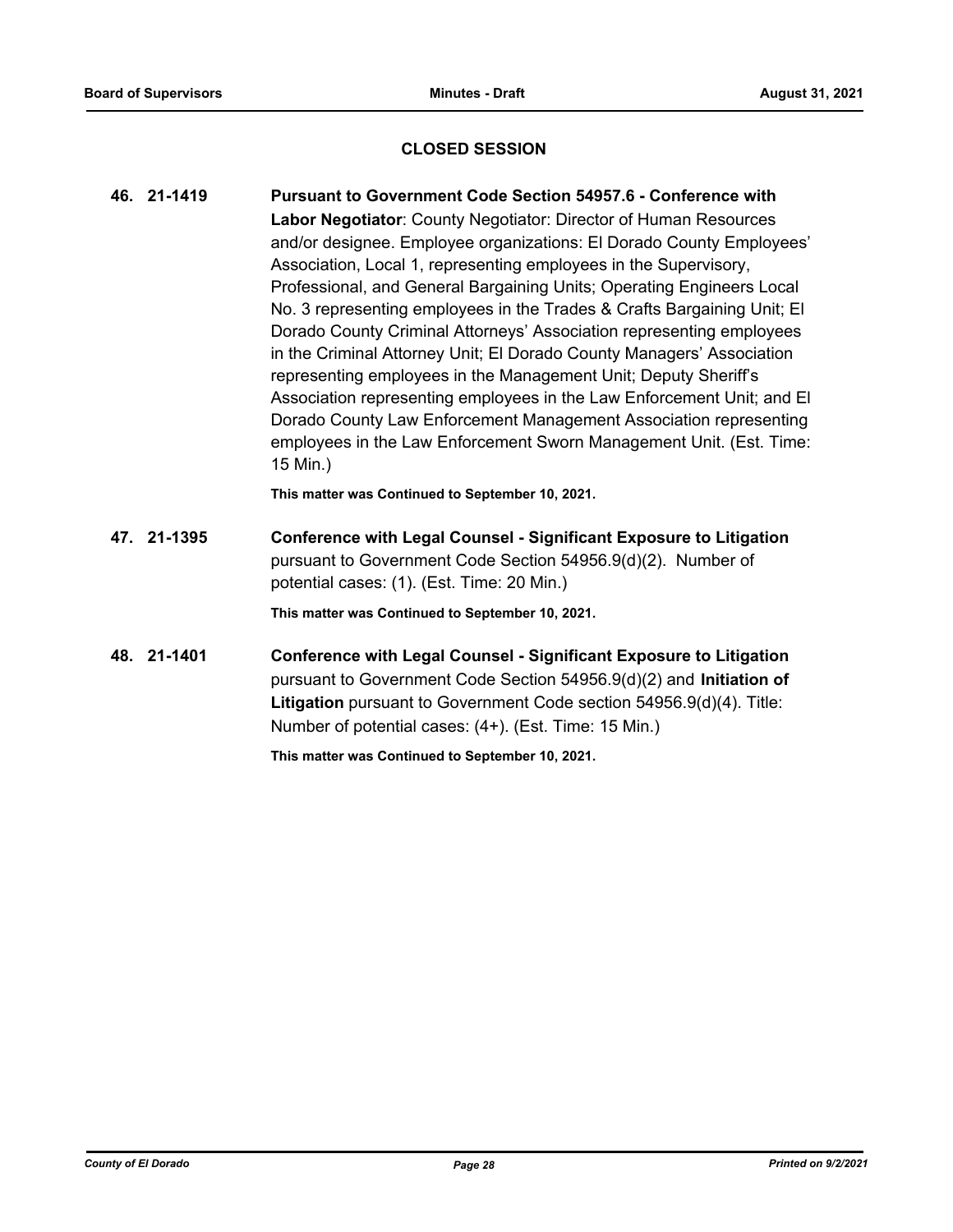# **CLOSED SESSION**

| 46. 21-1419 | <b>Pursuant to Government Code Section 54957.6 - Conference with</b>                                                                                                                    |
|-------------|-----------------------------------------------------------------------------------------------------------------------------------------------------------------------------------------|
|             | Labor Negotiator: County Negotiator: Director of Human Resources                                                                                                                        |
|             | and/or designee. Employee organizations: El Dorado County Employees'                                                                                                                    |
|             | Association, Local 1, representing employees in the Supervisory,                                                                                                                        |
|             | Professional, and General Bargaining Units; Operating Engineers Local                                                                                                                   |
|             | No. 3 representing employees in the Trades & Crafts Bargaining Unit; El                                                                                                                 |
|             | Dorado County Criminal Attorneys' Association representing employees                                                                                                                    |
|             | in the Criminal Attorney Unit; El Dorado County Managers' Association                                                                                                                   |
|             | representing employees in the Management Unit; Deputy Sheriff's                                                                                                                         |
|             | Association representing employees in the Law Enforcement Unit; and El                                                                                                                  |
|             | Dorado County Law Enforcement Management Association representing                                                                                                                       |
|             | employees in the Law Enforcement Sworn Management Unit. (Est. Time:<br>15 Min.)                                                                                                         |
|             | This matter was Continued to September 10, 2021.                                                                                                                                        |
|             |                                                                                                                                                                                         |
| 47. 21-1395 | <b>Conference with Legal Counsel - Significant Exposure to Litigation</b><br>pursuant to Government Code Section 54956.9(d)(2). Number of<br>potential cases: (1). (Est. Time: 20 Min.) |
|             |                                                                                                                                                                                         |
|             | This matter was Continued to September 10, 2021.                                                                                                                                        |
| 48. 21-1401 | <b>Conference with Legal Counsel - Significant Exposure to Litigation</b>                                                                                                               |
|             | pursuant to Government Code Section 54956 9(d)(2) and <b>Initiation of</b>                                                                                                              |

pursuant to Government Code Section 54956.9(d)(2) and **Initiation of Litigation** pursuant to Government Code section 54956.9(d)(4). Title: Number of potential cases: (4+). (Est. Time: 15 Min.)

**This matter was Continued to September 10, 2021.**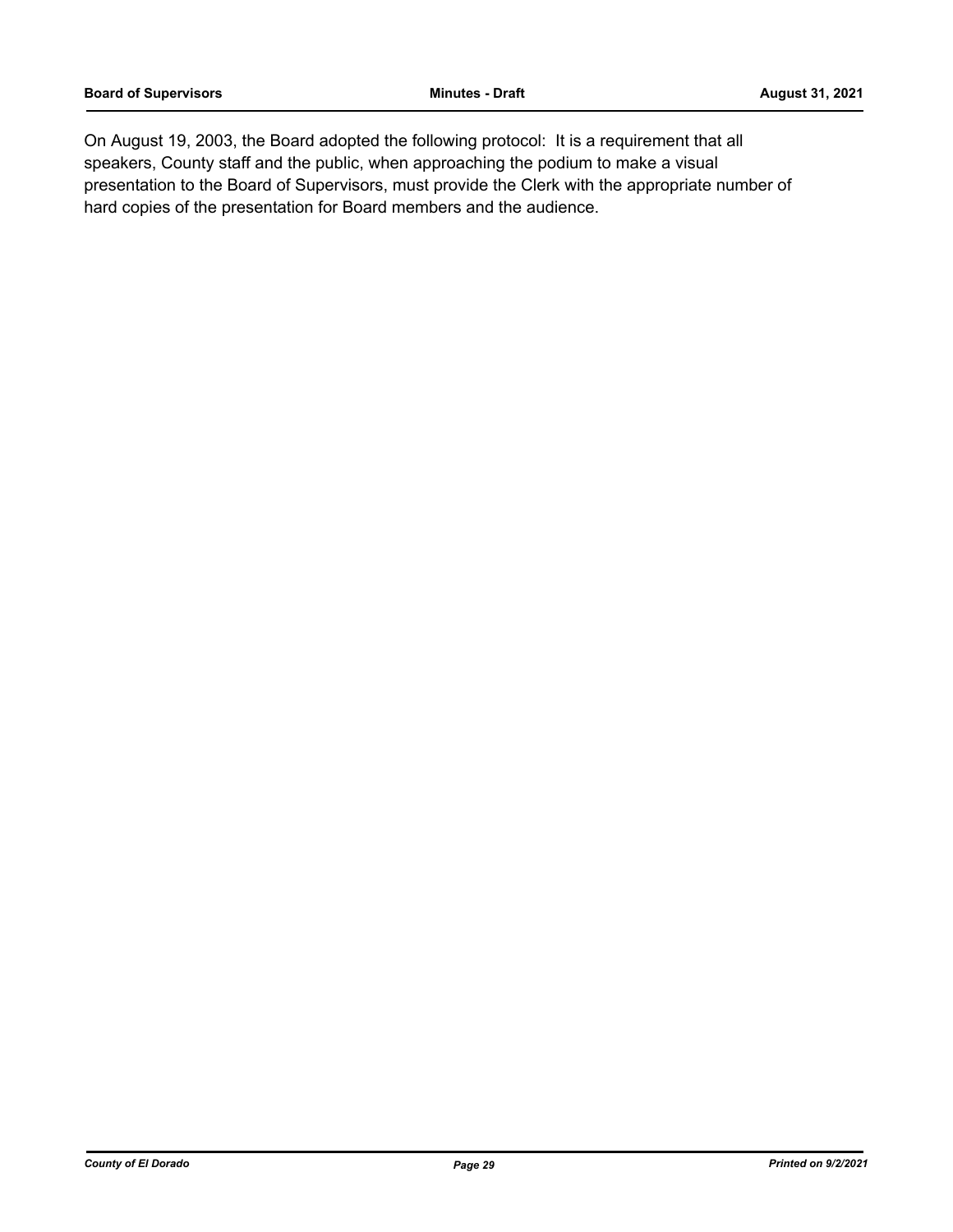On August 19, 2003, the Board adopted the following protocol: It is a requirement that all speakers, County staff and the public, when approaching the podium to make a visual presentation to the Board of Supervisors, must provide the Clerk with the appropriate number of hard copies of the presentation for Board members and the audience.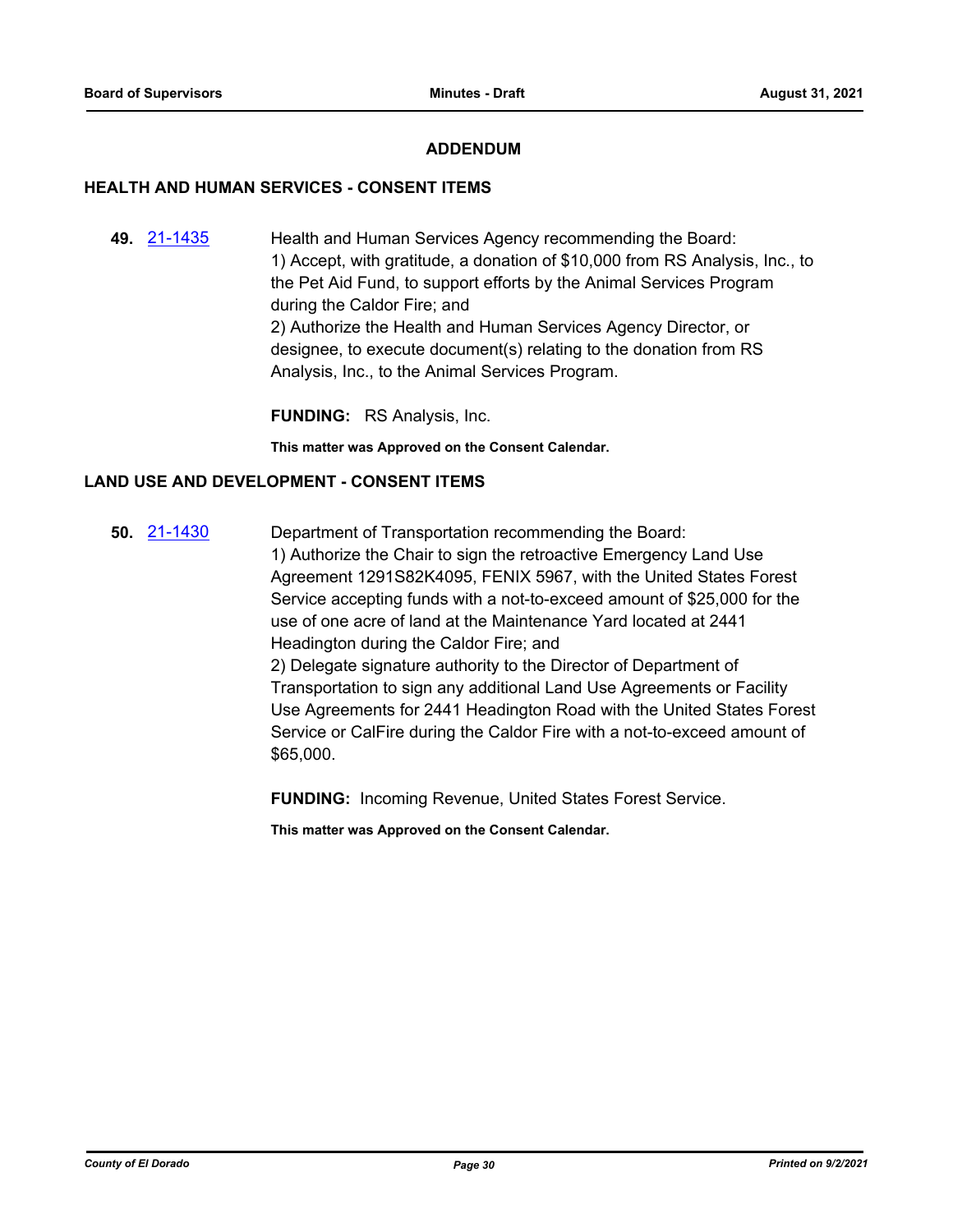# **ADDENDUM**

## **HEALTH AND HUMAN SERVICES - CONSENT ITEMS**

**49.** [21-1435](http://eldorado.legistar.com/gateway.aspx?m=l&id=/matter.aspx?key=30330) Health and Human Services Agency recommending the Board: 1) Accept, with gratitude, a donation of \$10,000 from RS Analysis, Inc., to the Pet Aid Fund, to support efforts by the Animal Services Program during the Caldor Fire; and 2) Authorize the Health and Human Services Agency Director, or designee, to execute document(s) relating to the donation from RS Analysis, Inc., to the Animal Services Program.

**FUNDING:** RS Analysis, Inc.

**This matter was Approved on the Consent Calendar.**

# **LAND USE AND DEVELOPMENT - CONSENT ITEMS**

**50.** [21-1430](http://eldorado.legistar.com/gateway.aspx?m=l&id=/matter.aspx?key=30325) Department of Transportation recommending the Board: 1) Authorize the Chair to sign the retroactive Emergency Land Use Agreement 1291S82K4095, FENIX 5967, with the United States Forest Service accepting funds with a not-to-exceed amount of \$25,000 for the use of one acre of land at the Maintenance Yard located at 2441 Headington during the Caldor Fire; and 2) Delegate signature authority to the Director of Department of Transportation to sign any additional Land Use Agreements or Facility Use Agreements for 2441 Headington Road with the United States Forest Service or CalFire during the Caldor Fire with a not-to-exceed amount of \$65,000.

**FUNDING:** Incoming Revenue, United States Forest Service.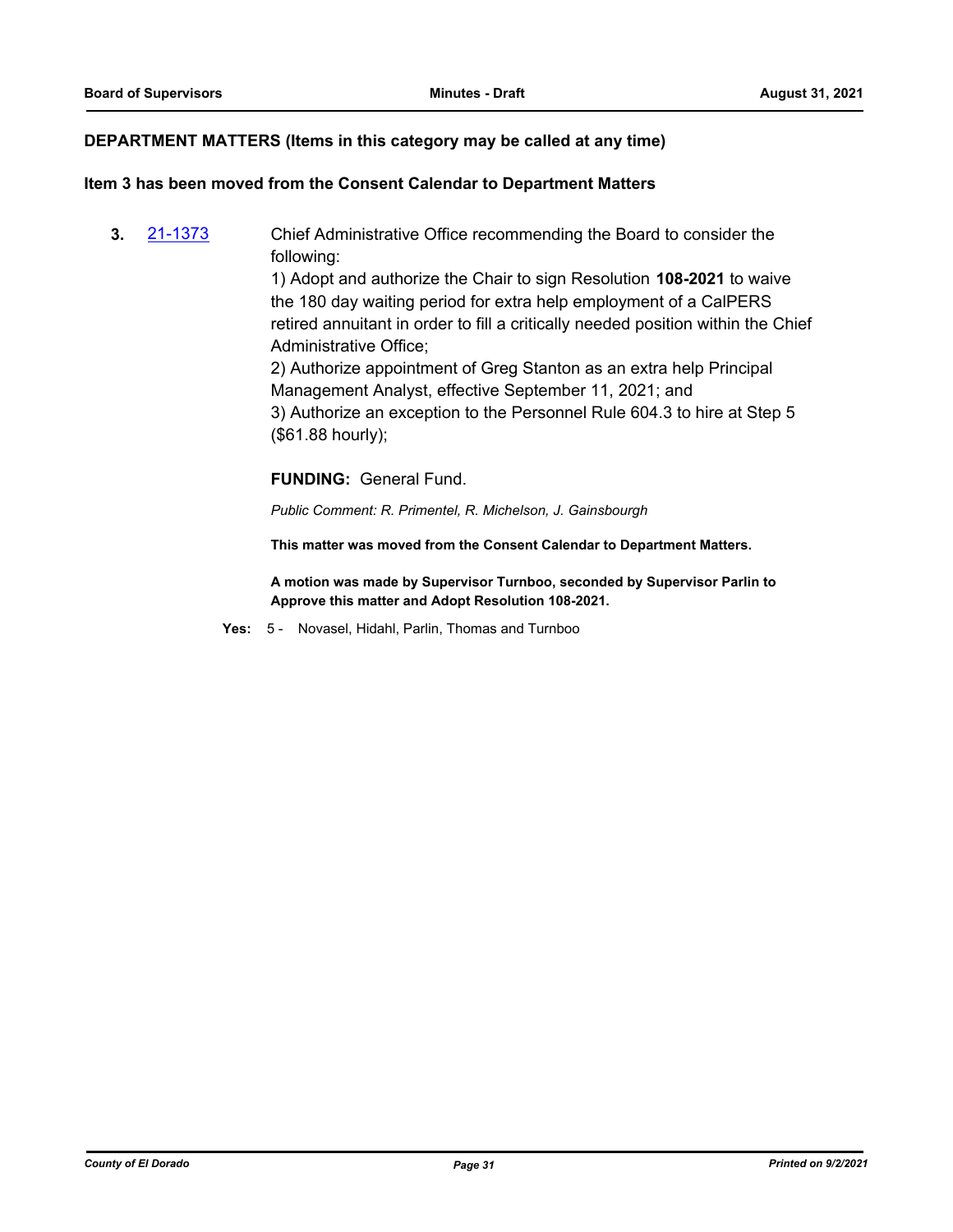### **DEPARTMENT MATTERS (Items in this category may be called at any time)**

#### **Item 3 has been moved from the Consent Calendar to Department Matters**

**3.** [21-1373](http://eldorado.legistar.com/gateway.aspx?m=l&id=/matter.aspx?key=30268) Chief Administrative Office recommending the Board to consider the following:

> 1) Adopt and authorize the Chair to sign Resolution **108-2021** to waive the 180 day waiting period for extra help employment of a CalPERS retired annuitant in order to fill a critically needed position within the Chief Administrative Office;

2) Authorize appointment of Greg Stanton as an extra help Principal Management Analyst, effective September 11, 2021; and 3) Authorize an exception to the Personnel Rule 604.3 to hire at Step 5 (\$61.88 hourly);

#### **FUNDING:** General Fund.

*Public Comment: R. Primentel, R. Michelson, J. Gainsbourgh*

**This matter was moved from the Consent Calendar to Department Matters.**

**A motion was made by Supervisor Turnboo, seconded by Supervisor Parlin to Approve this matter and Adopt Resolution 108-2021.**

**Yes:** 5 - Novasel, Hidahl, Parlin, Thomas and Turnboo